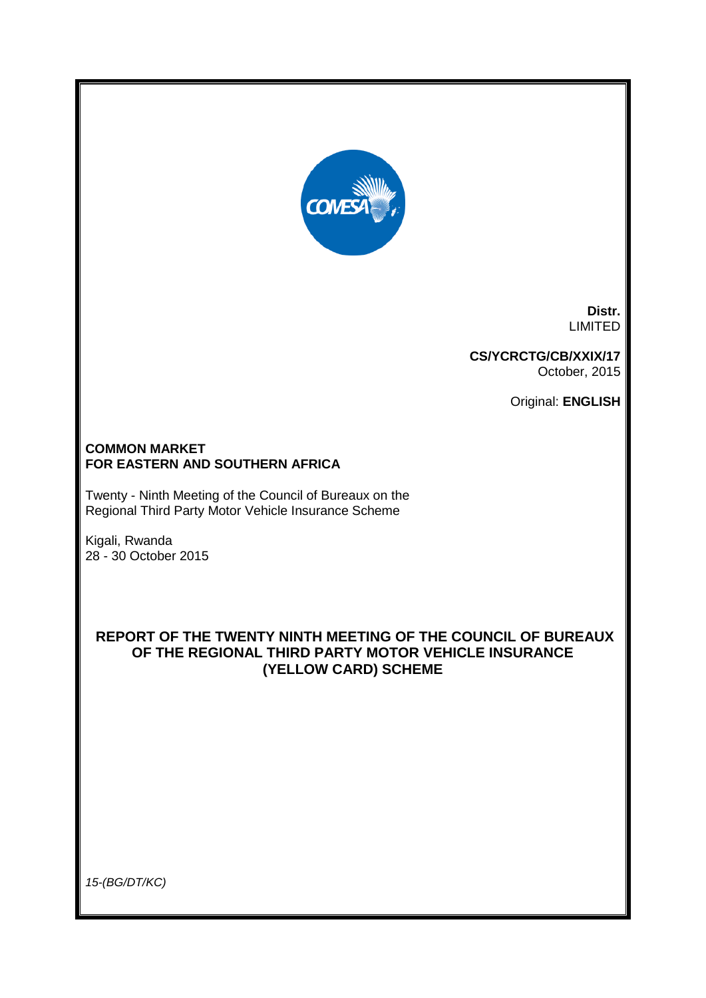

**Distr.** LIMITED

**CS/YCRCTG/CB/XXIX/17** October, 2015

Original: **ENGLISH**

# **COMMON MARKET FOR EASTERN AND SOUTHERN AFRICA**

Twenty - Ninth Meeting of the Council of Bureaux on the Regional Third Party Motor Vehicle Insurance Scheme

Kigali, Rwanda 28 - 30 October 2015

# **REPORT OF THE TWENTY NINTH MEETING OF THE COUNCIL OF BUREAUX OF THE REGIONAL THIRD PARTY MOTOR VEHICLE INSURANCE (YELLOW CARD) SCHEME**

*15-(BG/DT/KC)*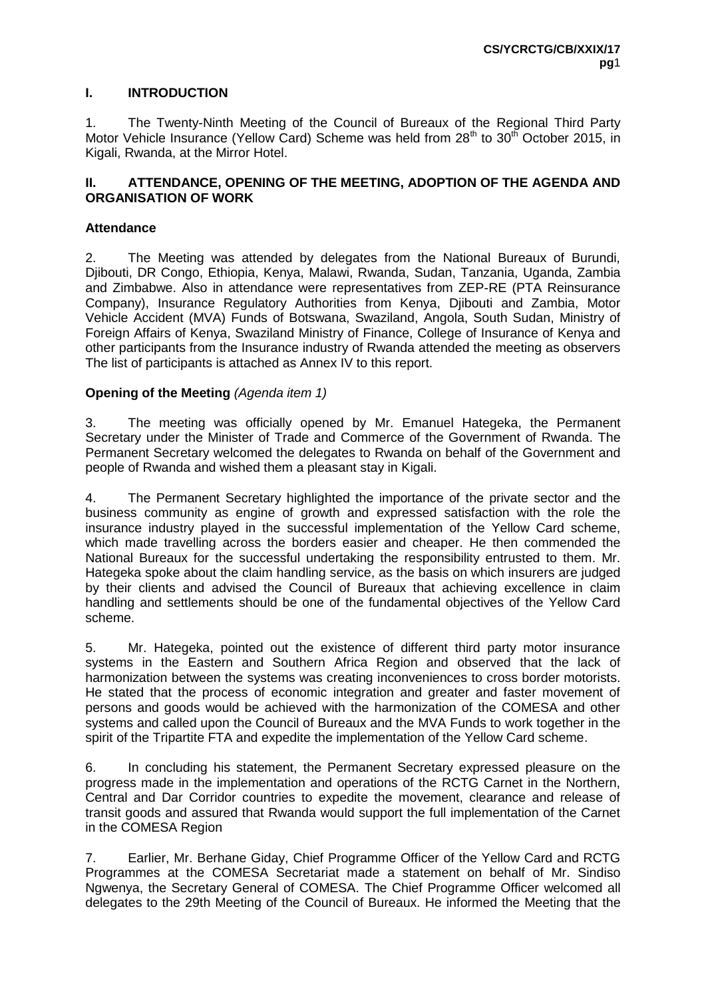#### **I. INTRODUCTION**

1. The Twenty-Ninth Meeting of the Council of Bureaux of the Regional Third Party Motor Vehicle Insurance (Yellow Card) Scheme was held from 28<sup>th</sup> to 30<sup>th</sup> October 2015, in Kigali, Rwanda, at the Mirror Hotel.

#### **II. ATTENDANCE, OPENING OF THE MEETING, ADOPTION OF THE AGENDA AND ORGANISATION OF WORK**

#### **Attendance**

2. The Meeting was attended by delegates from the National Bureaux of Burundi, Djibouti, DR Congo, Ethiopia, Kenya, Malawi, Rwanda, Sudan, Tanzania, Uganda, Zambia and Zimbabwe. Also in attendance were representatives from ZEP-RE (PTA Reinsurance Company), Insurance Regulatory Authorities from Kenya, Djibouti and Zambia, Motor Vehicle Accident (MVA) Funds of Botswana, Swaziland, Angola, South Sudan, Ministry of Foreign Affairs of Kenya, Swaziland Ministry of Finance, College of Insurance of Kenya and other participants from the Insurance industry of Rwanda attended the meeting as observers The list of participants is attached as Annex IV to this report.

#### **Opening of the Meeting** *(Agenda item 1)*

3. The meeting was officially opened by Mr. Emanuel Hategeka, the Permanent Secretary under the Minister of Trade and Commerce of the Government of Rwanda. The Permanent Secretary welcomed the delegates to Rwanda on behalf of the Government and people of Rwanda and wished them a pleasant stay in Kigali.

4. The Permanent Secretary highlighted the importance of the private sector and the business community as engine of growth and expressed satisfaction with the role the insurance industry played in the successful implementation of the Yellow Card scheme, which made travelling across the borders easier and cheaper. He then commended the National Bureaux for the successful undertaking the responsibility entrusted to them. Mr. Hategeka spoke about the claim handling service, as the basis on which insurers are judged by their clients and advised the Council of Bureaux that achieving excellence in claim handling and settlements should be one of the fundamental objectives of the Yellow Card scheme.

5. Mr. Hategeka, pointed out the existence of different third party motor insurance systems in the Eastern and Southern Africa Region and observed that the lack of harmonization between the systems was creating inconveniences to cross border motorists. He stated that the process of economic integration and greater and faster movement of persons and goods would be achieved with the harmonization of the COMESA and other systems and called upon the Council of Bureaux and the MVA Funds to work together in the spirit of the Tripartite FTA and expedite the implementation of the Yellow Card scheme.

6. In concluding his statement, the Permanent Secretary expressed pleasure on the progress made in the implementation and operations of the RCTG Carnet in the Northern, Central and Dar Corridor countries to expedite the movement, clearance and release of transit goods and assured that Rwanda would support the full implementation of the Carnet in the COMESA Region

7. Earlier, Mr. Berhane Giday, Chief Programme Officer of the Yellow Card and RCTG Programmes at the COMESA Secretariat made a statement on behalf of Mr. Sindiso Ngwenya, the Secretary General of COMESA. The Chief Programme Officer welcomed all delegates to the 29th Meeting of the Council of Bureaux. He informed the Meeting that the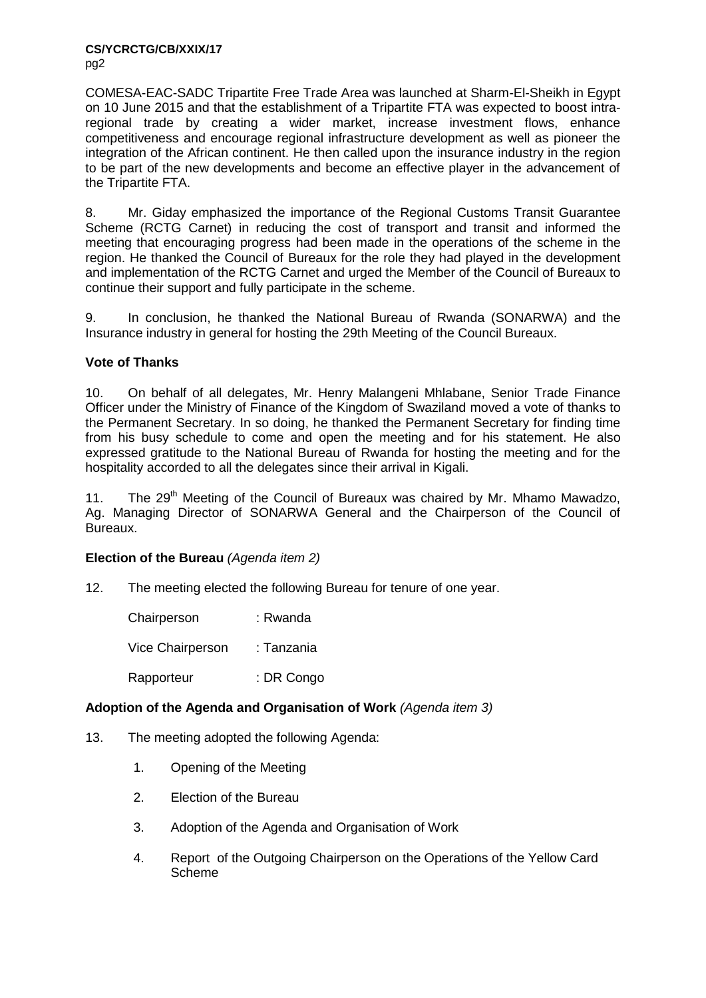**CS/YCRCTG/CB/XXIX/17** pg2

COMESA-EAC-SADC Tripartite Free Trade Area was launched at Sharm-El-Sheikh in Egypt on 10 June 2015 and that the establishment of a Tripartite FTA was expected to boost intraregional trade by creating a wider market, increase investment flows, enhance competitiveness and encourage regional infrastructure development as well as pioneer the integration of the African continent. He then called upon the insurance industry in the region to be part of the new developments and become an effective player in the advancement of the Tripartite FTA.

8. Mr. Giday emphasized the importance of the Regional Customs Transit Guarantee Scheme (RCTG Carnet) in reducing the cost of transport and transit and informed the meeting that encouraging progress had been made in the operations of the scheme in the region. He thanked the Council of Bureaux for the role they had played in the development and implementation of the RCTG Carnet and urged the Member of the Council of Bureaux to continue their support and fully participate in the scheme.

9. In conclusion, he thanked the National Bureau of Rwanda (SONARWA) and the Insurance industry in general for hosting the 29th Meeting of the Council Bureaux.

# **Vote of Thanks**

10. On behalf of all delegates, Mr. Henry Malangeni Mhlabane, Senior Trade Finance Officer under the Ministry of Finance of the Kingdom of Swaziland moved a vote of thanks to the Permanent Secretary. In so doing, he thanked the Permanent Secretary for finding time from his busy schedule to come and open the meeting and for his statement. He also expressed gratitude to the National Bureau of Rwanda for hosting the meeting and for the hospitality accorded to all the delegates since their arrival in Kigali.

11. The 29<sup>th</sup> Meeting of the Council of Bureaux was chaired by Mr. Mhamo Mawadzo, Ag. Managing Director of SONARWA General and the Chairperson of the Council of Bureaux.

# **Election of the Bureau** *(Agenda item 2)*

12. The meeting elected the following Bureau for tenure of one year.

| Chairperson             | : Rwanda   |
|-------------------------|------------|
| <b>Vice Chairperson</b> | : Tanzania |
| Rapporteur              | : DR Congo |

# **Adoption of the Agenda and Organisation of Work** *(Agenda item 3)*

- 13. The meeting adopted the following Agenda:
	- 1. Opening of the Meeting
	- 2. Election of the Bureau
	- 3. Adoption of the Agenda and Organisation of Work
	- 4. Report of the Outgoing Chairperson on the Operations of the Yellow Card Scheme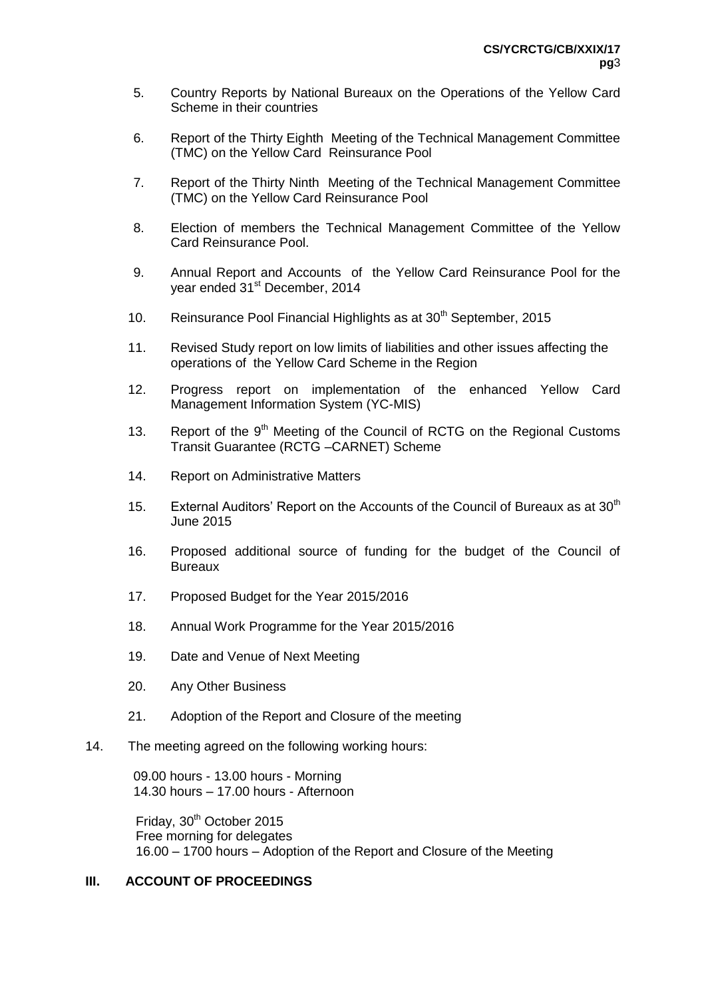- 5. Country Reports by National Bureaux on the Operations of the Yellow Card Scheme in their countries
- 6. Report of the Thirty Eighth Meeting of the Technical Management Committee (TMC) on the Yellow Card Reinsurance Pool
- 7. Report of the Thirty Ninth Meeting of the Technical Management Committee (TMC) on the Yellow Card Reinsurance Pool
- 8. Election of members the Technical Management Committee of the Yellow Card Reinsurance Pool.
- 9. Annual Report and Accounts of the Yellow Card Reinsurance Pool for the year ended 31<sup>st</sup> December, 2014
- 10. Reinsurance Pool Financial Highlights as at  $30<sup>th</sup>$  September, 2015
- 11. Revised Study report on low limits of liabilities and other issues affecting the operations of the Yellow Card Scheme in the Region
- 12. Progress report on implementation of the enhanced Yellow Card Management Information System (YC-MIS)
- 13. Report of the  $9<sup>th</sup>$  Meeting of the Council of RCTG on the Regional Customs Transit Guarantee (RCTG –CARNET) Scheme
- 14. Report on Administrative Matters
- 15. External Auditors' Report on the Accounts of the Council of Bureaux as at  $30<sup>th</sup>$ June 2015
- 16. Proposed additional source of funding for the budget of the Council of **Bureaux**
- 17. Proposed Budget for the Year 2015/2016
- 18. Annual Work Programme for the Year 2015/2016
- 19. Date and Venue of Next Meeting
- 20. Any Other Business
- 21. Adoption of the Report and Closure of the meeting
- 14. The meeting agreed on the following working hours:

09.00 hours - 13.00 hours - Morning 14.30 hours – 17.00 hours - Afternoon

Friday, 30<sup>th</sup> October 2015 Free morning for delegates 16.00 – 1700 hours – Adoption of the Report and Closure of the Meeting

# **III. ACCOUNT OF PROCEEDINGS**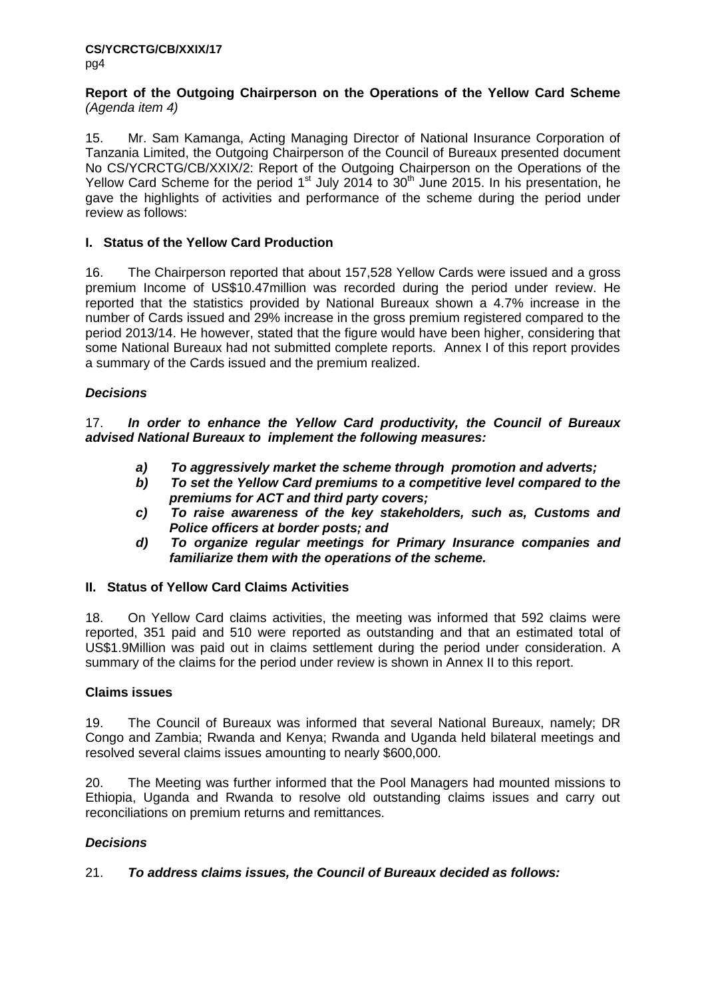#### **Report of the Outgoing Chairperson on the Operations of the Yellow Card Scheme**  *(Agenda item 4)*

15. Mr. Sam Kamanga, Acting Managing Director of National Insurance Corporation of Tanzania Limited, the Outgoing Chairperson of the Council of Bureaux presented document No CS/YCRCTG/CB/XXIX/2: Report of the Outgoing Chairperson on the Operations of the Yellow Card Scheme for the period  $1<sup>st</sup>$  July 2014 to  $30<sup>th</sup>$  June 2015. In his presentation, he gave the highlights of activities and performance of the scheme during the period under review as follows:

# **I. Status of the Yellow Card Production**

16. The Chairperson reported that about 157,528 Yellow Cards were issued and a gross premium Income of US\$10.47million was recorded during the period under review. He reported that the statistics provided by National Bureaux shown a 4.7% increase in the number of Cards issued and 29% increase in the gross premium registered compared to the period 2013/14. He however, stated that the figure would have been higher, considering that some National Bureaux had not submitted complete reports. Annex I of this report provides a summary of the Cards issued and the premium realized.

# *Decisions*

17. *In order to enhance the Yellow Card productivity, the Council of Bureaux advised National Bureaux to implement the following measures:*

- *a) To aggressively market the scheme through promotion and adverts;*
- *b) To set the Yellow Card premiums to a competitive level compared to the premiums for ACT and third party covers;*
- *c) To raise awareness of the key stakeholders, such as, Customs and Police officers at border posts; and*
- *d) To organize regular meetings for Primary Insurance companies and familiarize them with the operations of the scheme.*

# **II. Status of Yellow Card Claims Activities**

18. On Yellow Card claims activities, the meeting was informed that 592 claims were reported, 351 paid and 510 were reported as outstanding and that an estimated total of US\$1.9Million was paid out in claims settlement during the period under consideration. A summary of the claims for the period under review is shown in Annex II to this report.

# **Claims issues**

19. The Council of Bureaux was informed that several National Bureaux, namely; DR Congo and Zambia; Rwanda and Kenya; Rwanda and Uganda held bilateral meetings and resolved several claims issues amounting to nearly \$600,000.

20. The Meeting was further informed that the Pool Managers had mounted missions to Ethiopia, Uganda and Rwanda to resolve old outstanding claims issues and carry out reconciliations on premium returns and remittances.

# *Decisions*

# 21. *To address claims issues, the Council of Bureaux decided as follows:*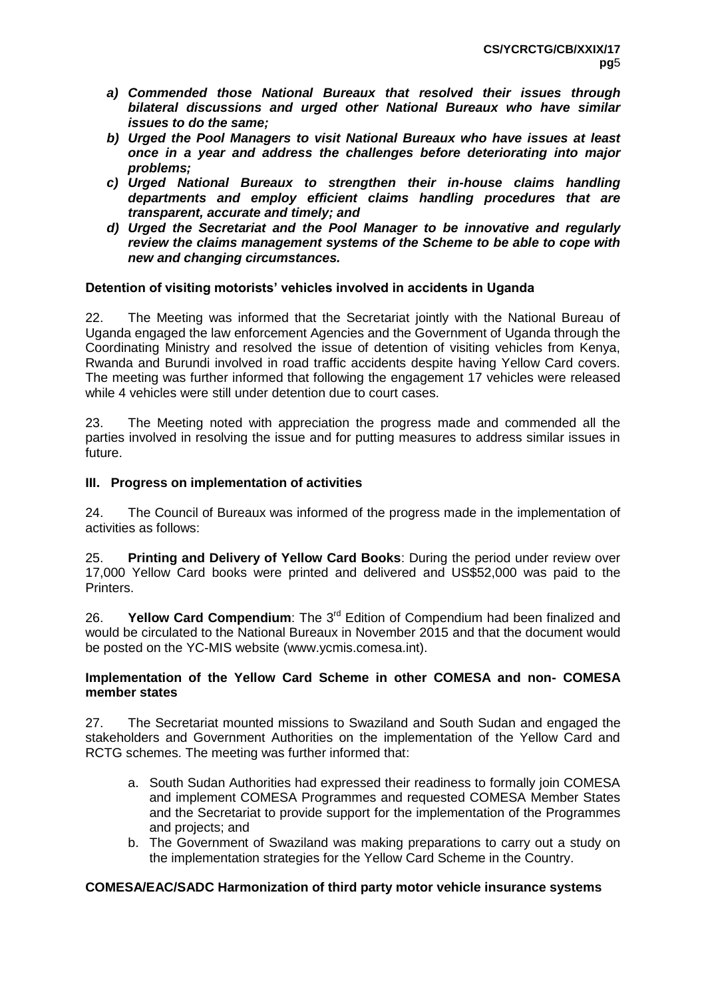- *a) Commended those National Bureaux that resolved their issues through bilateral discussions and urged other National Bureaux who have similar issues to do the same;*
- *b) Urged the Pool Managers to visit National Bureaux who have issues at least once in a year and address the challenges before deteriorating into major problems;*
- *c) Urged National Bureaux to strengthen their in-house claims handling departments and employ efficient claims handling procedures that are transparent, accurate and timely; and*
- *d) Urged the Secretariat and the Pool Manager to be innovative and regularly review the claims management systems of the Scheme to be able to cope with new and changing circumstances.*

# **Detention of visiting motorists' vehicles involved in accidents in Uganda**

22. The Meeting was informed that the Secretariat jointly with the National Bureau of Uganda engaged the law enforcement Agencies and the Government of Uganda through the Coordinating Ministry and resolved the issue of detention of visiting vehicles from Kenya, Rwanda and Burundi involved in road traffic accidents despite having Yellow Card covers. The meeting was further informed that following the engagement 17 vehicles were released while 4 vehicles were still under detention due to court cases.

23. The Meeting noted with appreciation the progress made and commended all the parties involved in resolving the issue and for putting measures to address similar issues in future.

# **III. Progress on implementation of activities**

24. The Council of Bureaux was informed of the progress made in the implementation of activities as follows:

25. **Printing and Delivery of Yellow Card Books**: During the period under review over 17,000 Yellow Card books were printed and delivered and US\$52,000 was paid to the **Printers** 

26. **Yellow Card Compendium**: The 3<sup>rd</sup> Edition of Compendium had been finalized and would be circulated to the National Bureaux in November 2015 and that the document would be posted on the YC-MIS website (www.ycmis.comesa.int).

#### **Implementation of the Yellow Card Scheme in other COMESA and non- COMESA member states**

27. The Secretariat mounted missions to Swaziland and South Sudan and engaged the stakeholders and Government Authorities on the implementation of the Yellow Card and RCTG schemes. The meeting was further informed that:

- a. South Sudan Authorities had expressed their readiness to formally join COMESA and implement COMESA Programmes and requested COMESA Member States and the Secretariat to provide support for the implementation of the Programmes and projects; and
- b. The Government of Swaziland was making preparations to carry out a study on the implementation strategies for the Yellow Card Scheme in the Country.

# **COMESA/EAC/SADC Harmonization of third party motor vehicle insurance systems**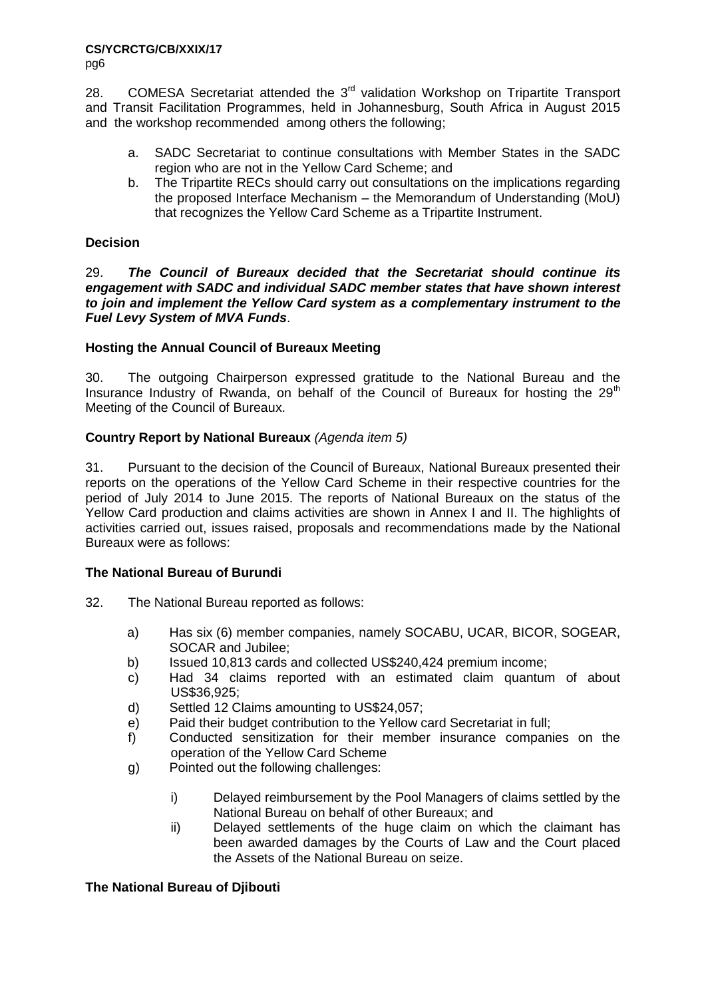pg6

28. COMESA Secretariat attended the 3<sup>rd</sup> validation Workshop on Tripartite Transport and Transit Facilitation Programmes, held in Johannesburg, South Africa in August 2015 and the workshop recommended among others the following;

- a. SADC Secretariat to continue consultations with Member States in the SADC region who are not in the Yellow Card Scheme; and
- b. The Tripartite RECs should carry out consultations on the implications regarding the proposed Interface Mechanism – the Memorandum of Understanding (MoU) that recognizes the Yellow Card Scheme as a Tripartite Instrument.

# **Decision**

29. *The Council of Bureaux decided that the Secretariat should continue its engagement with SADC and individual SADC member states that have shown interest to join and implement the Yellow Card system as a complementary instrument to the Fuel Levy System of MVA Funds*.

# **Hosting the Annual Council of Bureaux Meeting**

30. The outgoing Chairperson expressed gratitude to the National Bureau and the Insurance Industry of Rwanda, on behalf of the Council of Bureaux for hosting the 29<sup>th</sup> Meeting of the Council of Bureaux.

# **Country Report by National Bureaux** *(Agenda item 5)*

31. Pursuant to the decision of the Council of Bureaux, National Bureaux presented their reports on the operations of the Yellow Card Scheme in their respective countries for the period of July 2014 to June 2015. The reports of National Bureaux on the status of the Yellow Card production and claims activities are shown in Annex I and II. The highlights of activities carried out, issues raised, proposals and recommendations made by the National Bureaux were as follows:

# **The National Bureau of Burundi**

- 32. The National Bureau reported as follows:
	- a) Has six (6) member companies, namely SOCABU, UCAR, BICOR, SOGEAR, SOCAR and Jubilee;
	- b) Issued 10,813 cards and collected US\$240,424 premium income;
	- c) Had 34 claims reported with an estimated claim quantum of about US\$36,925;
	- d) Settled 12 Claims amounting to US\$24,057;
	- e) Paid their budget contribution to the Yellow card Secretariat in full;
	- f) Conducted sensitization for their member insurance companies on the operation of the Yellow Card Scheme
	- g) Pointed out the following challenges:
		- i) Delayed reimbursement by the Pool Managers of claims settled by the National Bureau on behalf of other Bureaux; and
		- ii) Delayed settlements of the huge claim on which the claimant has been awarded damages by the Courts of Law and the Court placed the Assets of the National Bureau on seize.

# **The National Bureau of Djibouti**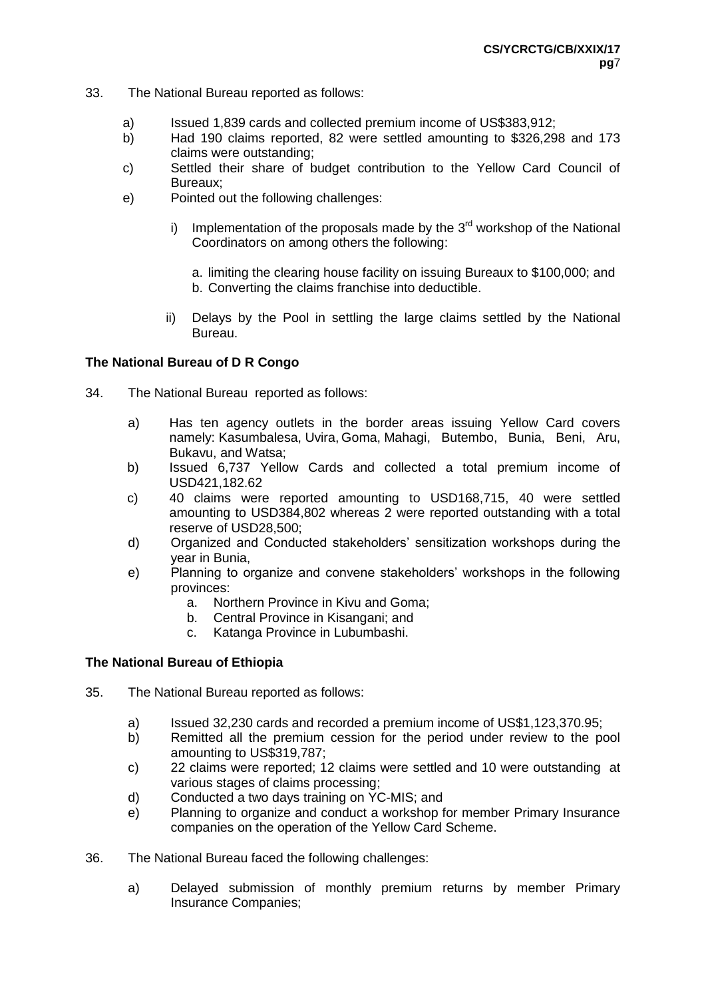- 33. The National Bureau reported as follows:
	- a) Issued 1,839 cards and collected premium income of US\$383,912;
	- b) Had 190 claims reported, 82 were settled amounting to \$326,298 and 173 claims were outstanding;
	- c) Settled their share of budget contribution to the Yellow Card Council of Bureaux;
	- e) Pointed out the following challenges:
		- i) Implementation of the proposals made by the  $3<sup>rd</sup>$  workshop of the National Coordinators on among others the following:
			- a. limiting the clearing house facility on issuing Bureaux to \$100,000; and b. Converting the claims franchise into deductible.
		- ii) Delays by the Pool in settling the large claims settled by the National Bureau.

# **The National Bureau of D R Congo**

- 34. The National Bureau reported as follows:
	- a) Has ten agency outlets in the border areas issuing Yellow Card covers namely: Kasumbalesa, Uvira, Goma, Mahagi, Butembo, Bunia, Beni, Aru, Bukavu, and Watsa;
	- b) Issued 6,737 Yellow Cards and collected a total premium income of USD421,182.62
	- c) 40 claims were reported amounting to USD168,715, 40 were settled amounting to USD384,802 whereas 2 were reported outstanding with a total reserve of USD28,500;
	- d) Organized and Conducted stakeholders' sensitization workshops during the year in Bunia,
	- e) Planning to organize and convene stakeholders' workshops in the following provinces:
		- a. Northern Province in Kivu and Goma;
		- b. Central Province in Kisangani; and
		- c. Katanga Province in Lubumbashi.

# **The National Bureau of Ethiopia**

- 35. The National Bureau reported as follows:
	- a) Issued 32,230 cards and recorded a premium income of US\$1,123,370.95;
	- b) Remitted all the premium cession for the period under review to the pool amounting to US\$319,787;
	- c) 22 claims were reported; 12 claims were settled and 10 were outstanding at various stages of claims processing;
	- d) Conducted a two days training on YC-MIS; and
	- e) Planning to organize and conduct a workshop for member Primary Insurance companies on the operation of the Yellow Card Scheme.
- 36. The National Bureau faced the following challenges:
	- a) Delayed submission of monthly premium returns by member Primary Insurance Companies;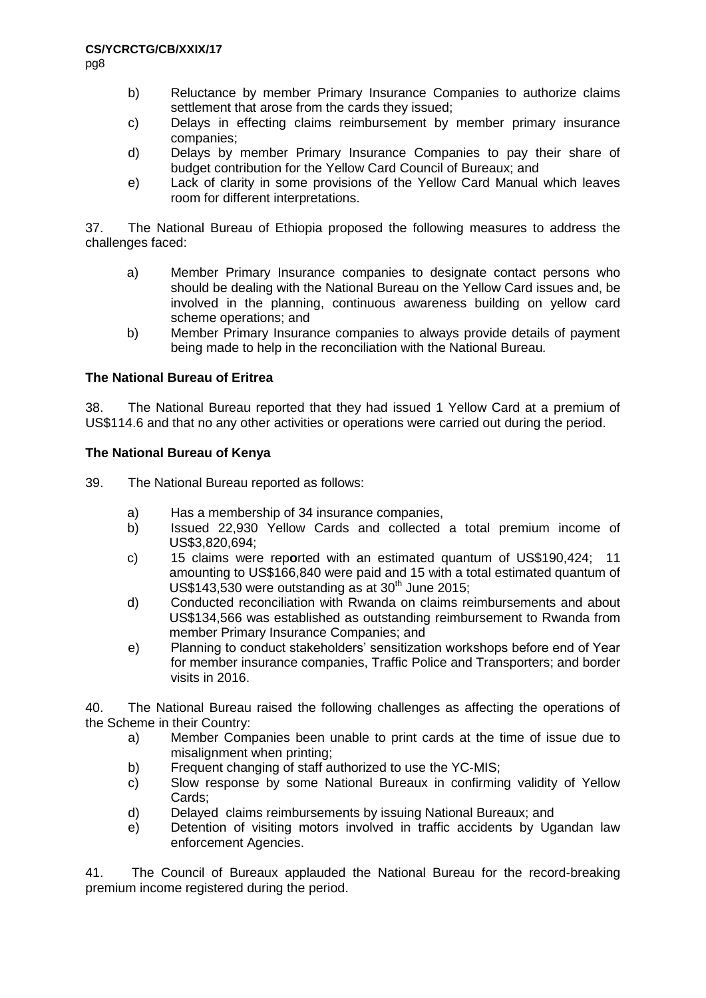- b) Reluctance by member Primary Insurance Companies to authorize claims settlement that arose from the cards they issued;
- c) Delays in effecting claims reimbursement by member primary insurance companies;
- d) Delays by member Primary Insurance Companies to pay their share of budget contribution for the Yellow Card Council of Bureaux; and
- e) Lack of clarity in some provisions of the Yellow Card Manual which leaves room for different interpretations.

37. The National Bureau of Ethiopia proposed the following measures to address the challenges faced:

- a) Member Primary Insurance companies to designate contact persons who should be dealing with the National Bureau on the Yellow Card issues and, be involved in the planning, continuous awareness building on yellow card scheme operations; and
- b) Member Primary Insurance companies to always provide details of payment being made to help in the reconciliation with the National Bureau*.*

# **The National Bureau of Eritrea**

38. The National Bureau reported that they had issued 1 Yellow Card at a premium of US\$114.6 and that no any other activities or operations were carried out during the period.

#### **The National Bureau of Kenya**

39. The National Bureau reported as follows:

- a) Has a membership of 34 insurance companies,
- b) Issued 22,930 Yellow Cards and collected a total premium income of US\$3,820,694;
- c) 15 claims were rep**o**rted with an estimated quantum of US\$190,424; 11 amounting to US\$166,840 were paid and 15 with a total estimated quantum of US\$143,530 were outstanding as at  $30<sup>th</sup>$  June 2015;
- d) Conducted reconciliation with Rwanda on claims reimbursements and about US\$134,566 was established as outstanding reimbursement to Rwanda from member Primary Insurance Companies; and
- e) Planning to conduct stakeholders' sensitization workshops before end of Year for member insurance companies, Traffic Police and Transporters; and border visits in 2016.

40. The National Bureau raised the following challenges as affecting the operations of the Scheme in their Country:

- a) Member Companies been unable to print cards at the time of issue due to misalignment when printing;
- b) Frequent changing of staff authorized to use the YC-MIS;
- c) Slow response by some National Bureaux in confirming validity of Yellow Cards;
- d) Delayed claims reimbursements by issuing National Bureaux; and
- e) Detention of visiting motors involved in traffic accidents by Ugandan law enforcement Agencies.

41. The Council of Bureaux applauded the National Bureau for the record-breaking premium income registered during the period.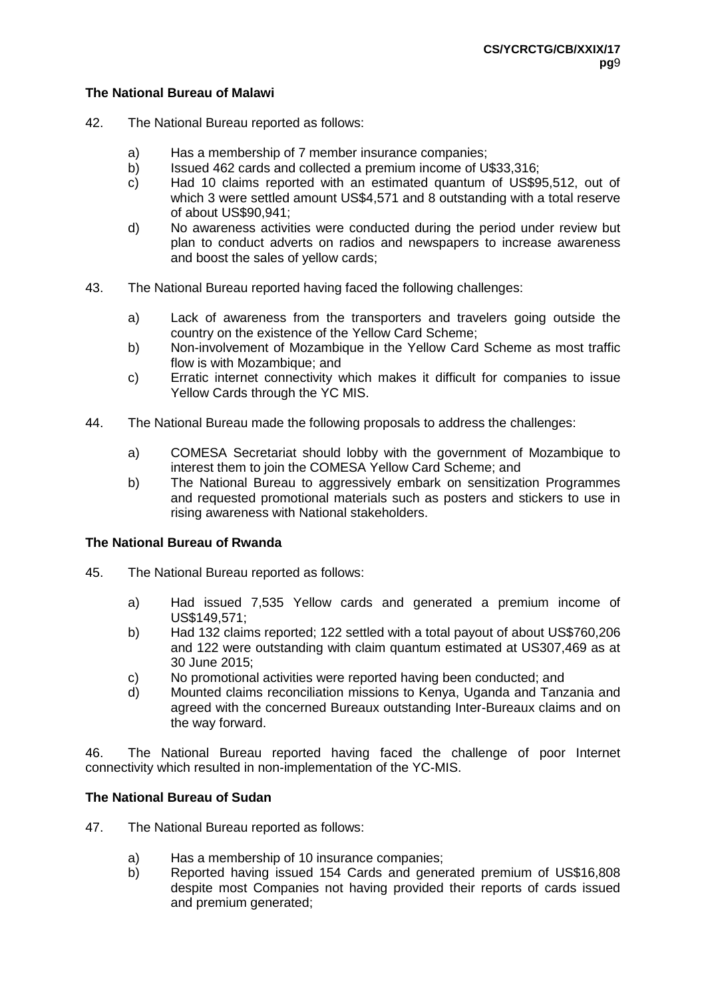#### **The National Bureau of Malawi**

- 42. The National Bureau reported as follows:
	- a) Has a membership of 7 member insurance companies;
	- b) Issued 462 cards and collected a premium income of U\$33,316;
	- c) Had 10 claims reported with an estimated quantum of US\$95,512, out of which 3 were settled amount US\$4,571 and 8 outstanding with a total reserve of about US\$90,941;
	- d) No awareness activities were conducted during the period under review but plan to conduct adverts on radios and newspapers to increase awareness and boost the sales of yellow cards;
- 43. The National Bureau reported having faced the following challenges:
	- a) Lack of awareness from the transporters and travelers going outside the country on the existence of the Yellow Card Scheme;
	- b) Non-involvement of Mozambique in the Yellow Card Scheme as most traffic flow is with Mozambique; and
	- c) Erratic internet connectivity which makes it difficult for companies to issue Yellow Cards through the YC MIS.
- 44. The National Bureau made the following proposals to address the challenges:
	- a) COMESA Secretariat should lobby with the government of Mozambique to interest them to join the COMESA Yellow Card Scheme; and
	- b) The National Bureau to aggressively embark on sensitization Programmes and requested promotional materials such as posters and stickers to use in rising awareness with National stakeholders.

# **The National Bureau of Rwanda**

- 45. The National Bureau reported as follows:
	- a) Had issued 7,535 Yellow cards and generated a premium income of US\$149,571;
	- b) Had 132 claims reported; 122 settled with a total payout of about US\$760,206 and 122 were outstanding with claim quantum estimated at US307,469 as at 30 June 2015;
	- c) No promotional activities were reported having been conducted; and
	- d) Mounted claims reconciliation missions to Kenya, Uganda and Tanzania and agreed with the concerned Bureaux outstanding Inter-Bureaux claims and on the way forward.

46. The National Bureau reported having faced the challenge of poor Internet connectivity which resulted in non-implementation of the YC-MIS.

# **The National Bureau of Sudan**

- 47. The National Bureau reported as follows:
	- a) Has a membership of 10 insurance companies;<br>b) Reported having issued 154 Cards and gene
	- b) Reported having issued 154 Cards and generated premium of US\$16,808 despite most Companies not having provided their reports of cards issued and premium generated;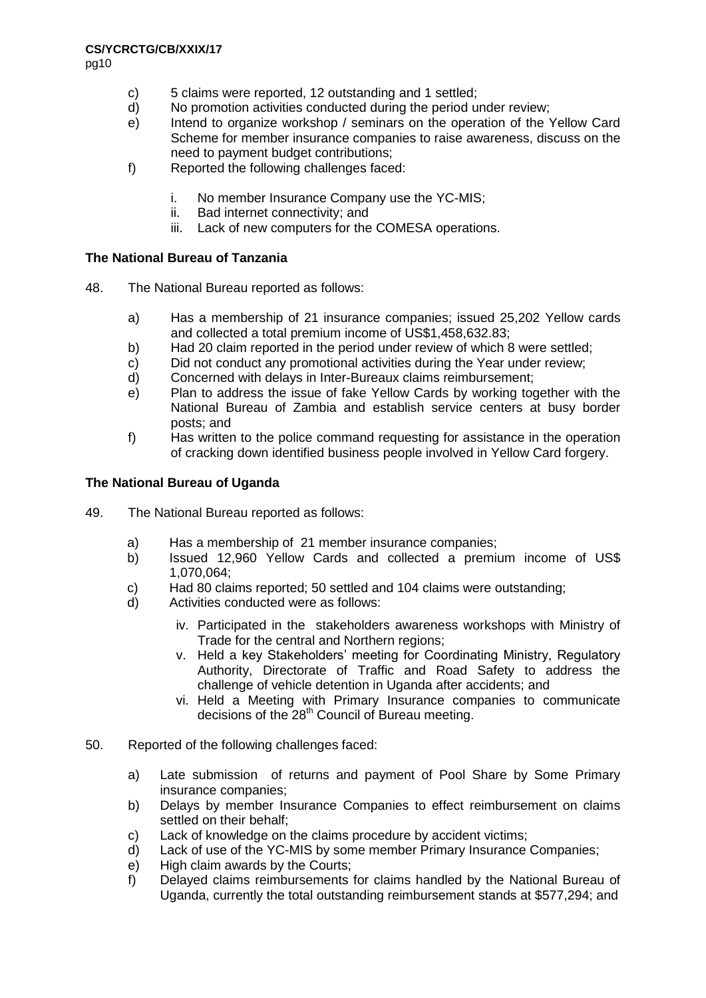pg10

- c) 5 claims were reported, 12 outstanding and 1 settled;
- d) No promotion activities conducted during the period under review;
- e) Intend to organize workshop / seminars on the operation of the Yellow Card Scheme for member insurance companies to raise awareness, discuss on the need to payment budget contributions;
- f) Reported the following challenges faced:
	- i. No member Insurance Company use the YC-MIS;
	- ii. Bad internet connectivity; and
	- iii. Lack of new computers for the COMESA operations.

# **The National Bureau of Tanzania**

- 48. The National Bureau reported as follows:
	- a) Has a membership of 21 insurance companies; issued 25,202 Yellow cards and collected a total premium income of US\$1,458,632.83;
	- b) Had 20 claim reported in the period under review of which 8 were settled;
	- c) Did not conduct any promotional activities during the Year under review;
	- d) Concerned with delays in Inter-Bureaux claims reimbursement;
	- e) Plan to address the issue of fake Yellow Cards by working together with the National Bureau of Zambia and establish service centers at busy border posts; and
	- f) Has written to the police command requesting for assistance in the operation of cracking down identified business people involved in Yellow Card forgery.

# **The National Bureau of Uganda**

- 49. The National Bureau reported as follows:
	- a) Has a membership of 21 member insurance companies;
	- b) Issued 12,960 Yellow Cards and collected a premium income of US\$ 1,070,064;
	- c) Had 80 claims reported; 50 settled and 104 claims were outstanding;
	- d) Activities conducted were as follows:
		- iv. Participated in the stakeholders awareness workshops with Ministry of Trade for the central and Northern regions;
		- v. Held a key Stakeholders' meeting for Coordinating Ministry, Regulatory Authority, Directorate of Traffic and Road Safety to address the challenge of vehicle detention in Uganda after accidents; and
		- vi. Held a Meeting with Primary Insurance companies to communicate decisions of the 28<sup>th</sup> Council of Bureau meeting.
- 50. Reported of the following challenges faced:
	- a) Late submission of returns and payment of Pool Share by Some Primary insurance companies;
	- b) Delays by member Insurance Companies to effect reimbursement on claims settled on their behalf;
	- c) Lack of knowledge on the claims procedure by accident victims;
	- d) Lack of use of the YC-MIS by some member Primary Insurance Companies;
	- e) High claim awards by the Courts;
	- f) Delayed claims reimbursements for claims handled by the National Bureau of Uganda, currently the total outstanding reimbursement stands at \$577,294; and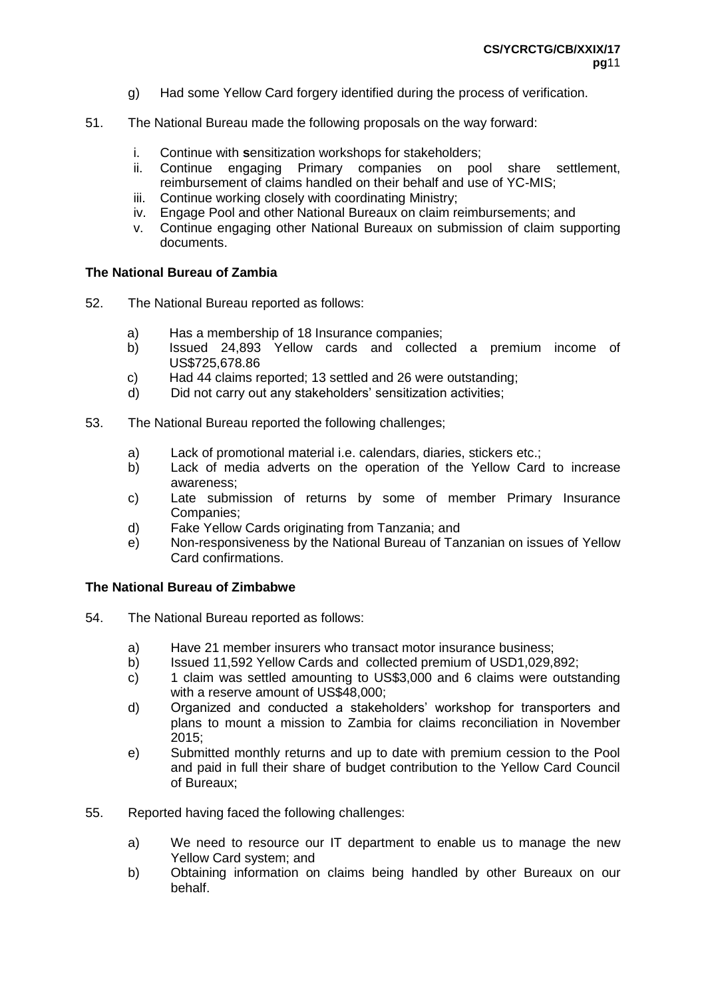- g) Had some Yellow Card forgery identified during the process of verification.
- 51. The National Bureau made the following proposals on the way forward:
	- i. Continue with **s**ensitization workshops for stakeholders;
	- ii. Continue engaging Primary companies on pool share settlement, reimbursement of claims handled on their behalf and use of YC-MIS;
	- iii. Continue working closely with coordinating Ministry;
	- iv. Engage Pool and other National Bureaux on claim reimbursements; and
	- v. Continue engaging other National Bureaux on submission of claim supporting documents.

#### **The National Bureau of Zambia**

- 52. The National Bureau reported as follows:
	- a) Has a membership of 18 Insurance companies;
	- b) Issued 24,893 Yellow cards and collected a premium income of US\$725,678.86
	- c) Had 44 claims reported; 13 settled and 26 were outstanding;
	- d) Did not carry out any stakeholders' sensitization activities;
- 53. The National Bureau reported the following challenges;
	- a) Lack of promotional material i.e. calendars, diaries, stickers etc.;
	- b) Lack of media adverts on the operation of the Yellow Card to increase awareness;
	- c) Late submission of returns by some of member Primary Insurance Companies;
	- d) Fake Yellow Cards originating from Tanzania; and
	- e) Non-responsiveness by the National Bureau of Tanzanian on issues of Yellow Card confirmations.

#### **The National Bureau of Zimbabwe**

- 54. The National Bureau reported as follows:
	- a) Have 21 member insurers who transact motor insurance business;
	- b) Issued 11,592 Yellow Cards and collected premium of USD1,029,892;
	- c) 1 claim was settled amounting to US\$3,000 and 6 claims were outstanding with a reserve amount of US\$48,000;
	- d) Organized and conducted a stakeholders' workshop for transporters and plans to mount a mission to Zambia for claims reconciliation in November 2015;
	- e) Submitted monthly returns and up to date with premium cession to the Pool and paid in full their share of budget contribution to the Yellow Card Council of Bureaux;
- 55. Reported having faced the following challenges:
	- a) We need to resource our IT department to enable us to manage the new Yellow Card system; and
	- b) Obtaining information on claims being handled by other Bureaux on our behalf.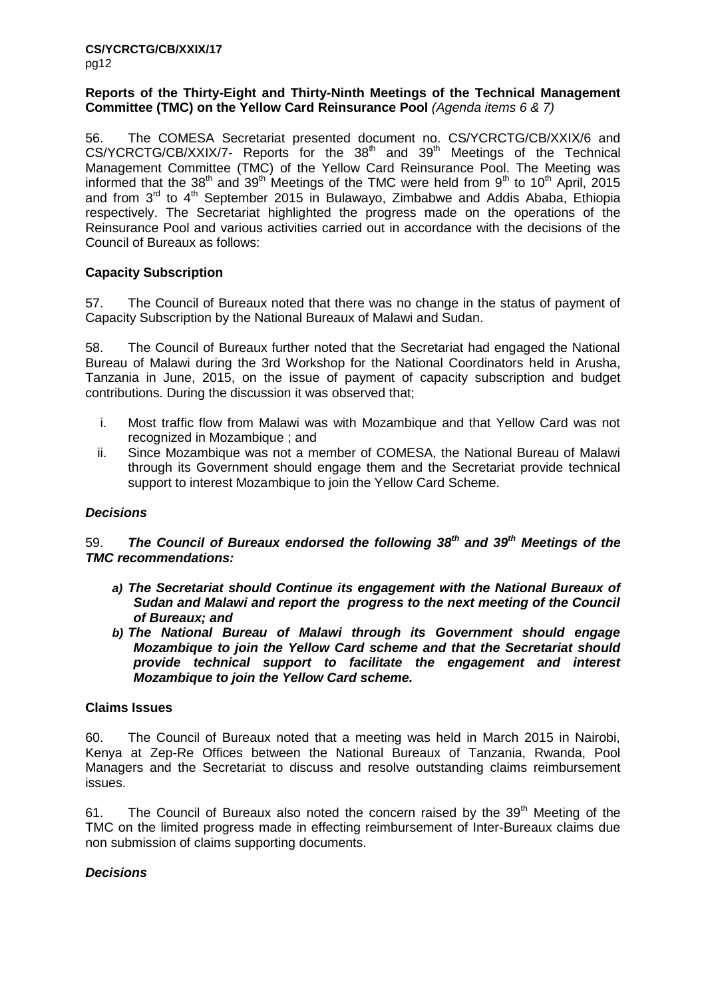#### **Reports of the Thirty-Eight and Thirty-Ninth Meetings of the Technical Management Committee (TMC) on the Yellow Card Reinsurance Pool** *(Agenda items 6 & 7)*

56. The COMESA Secretariat presented document no. CS/YCRCTG/CB/XXIX/6 and CS/YCRCTG/CB/XXIX/7- Reports for the 38<sup>th</sup> and 39<sup>th</sup> Meetings of the Technical Management Committee (TMC) of the Yellow Card Reinsurance Pool. The Meeting was informed that the 38<sup>th</sup> and 39<sup>th</sup> Meetings of the TMC were held from 9<sup>th</sup> to 10<sup>th</sup> April, 2015 and from  $3^{rd}$  to  $4^{th}$  September 2015 in Bulawayo, Zimbabwe and Addis Ababa, Ethiopia respectively. The Secretariat highlighted the progress made on the operations of the Reinsurance Pool and various activities carried out in accordance with the decisions of the Council of Bureaux as follows:

# **Capacity Subscription**

57. The Council of Bureaux noted that there was no change in the status of payment of Capacity Subscription by the National Bureaux of Malawi and Sudan.

58. The Council of Bureaux further noted that the Secretariat had engaged the National Bureau of Malawi during the 3rd Workshop for the National Coordinators held in Arusha, Tanzania in June, 2015, on the issue of payment of capacity subscription and budget contributions. During the discussion it was observed that;

- i. Most traffic flow from Malawi was with Mozambique and that Yellow Card was not recognized in Mozambique ; and
- ii. Since Mozambique was not a member of COMESA, the National Bureau of Malawi through its Government should engage them and the Secretariat provide technical support to interest Mozambique to join the Yellow Card Scheme.

# *Decisions*

59. *The Council of Bureaux endorsed the following 38th and 39th Meetings of the TMC recommendations:*

- *a) The Secretariat should Continue its engagement with the National Bureaux of Sudan and Malawi and report the progress to the next meeting of the Council of Bureaux; and*
- *b) The National Bureau of Malawi through its Government should engage Mozambique to join the Yellow Card scheme and that the Secretariat should provide technical support to facilitate the engagement and interest Mozambique to join the Yellow Card scheme.*

# **Claims Issues**

60. The Council of Bureaux noted that a meeting was held in March 2015 in Nairobi, Kenya at Zep-Re Offices between the National Bureaux of Tanzania, Rwanda, Pool Managers and the Secretariat to discuss and resolve outstanding claims reimbursement issues.

61. The Council of Bureaux also noted the concern raised by the  $39<sup>th</sup>$  Meeting of the TMC on the limited progress made in effecting reimbursement of Inter-Bureaux claims due non submission of claims supporting documents.

# *Decisions*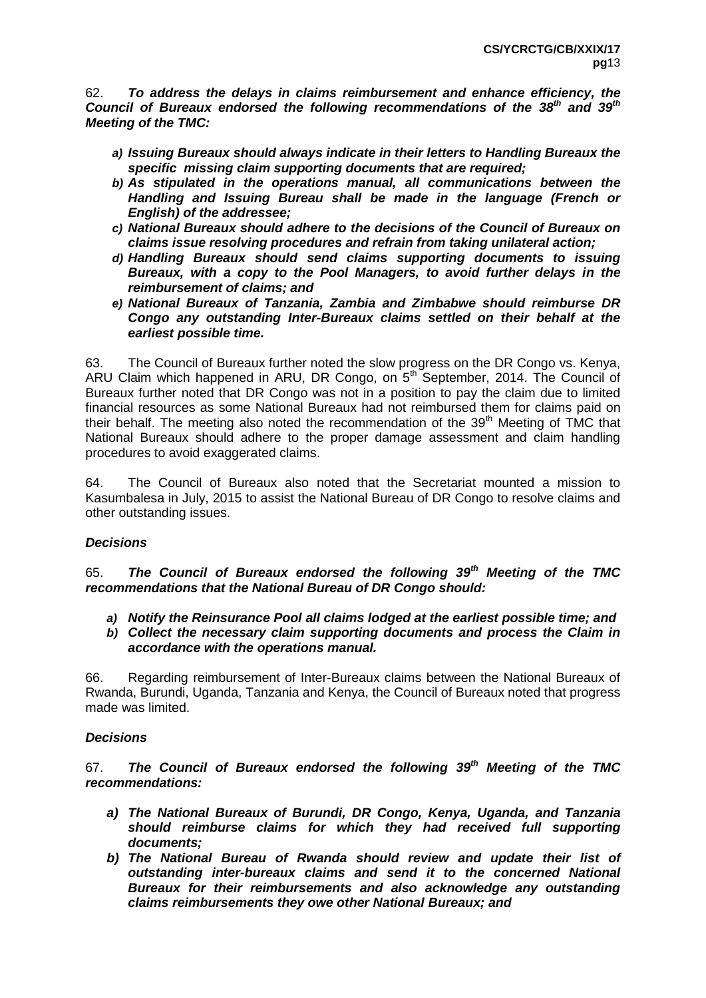62. *To address the delays in claims reimbursement and enhance efficiency, the Council of Bureaux endorsed the following recommendations of the 38th and 39th Meeting of the TMC:*

- *a) Issuing Bureaux should always indicate in their letters to Handling Bureaux the specific missing claim supporting documents that are required;*
- *b) As stipulated in the operations manual, all communications between the Handling and Issuing Bureau shall be made in the language (French or English) of the addressee;*
- *c) National Bureaux should adhere to the decisions of the Council of Bureaux on claims issue resolving procedures and refrain from taking unilateral action;*
- *d) Handling Bureaux should send claims supporting documents to issuing Bureaux, with a copy to the Pool Managers, to avoid further delays in the reimbursement of claims; and*
- *e) National Bureaux of Tanzania, Zambia and Zimbabwe should reimburse DR Congo any outstanding Inter-Bureaux claims settled on their behalf at the earliest possible time.*

63. The Council of Bureaux further noted the slow progress on the DR Congo vs. Kenya, ARU Claim which happened in ARU, DR Congo, on  $5<sup>th</sup>$  September, 2014. The Council of Bureaux further noted that DR Congo was not in a position to pay the claim due to limited financial resources as some National Bureaux had not reimbursed them for claims paid on their behalf. The meeting also noted the recommendation of the 39<sup>th</sup> Meeting of TMC that National Bureaux should adhere to the proper damage assessment and claim handling procedures to avoid exaggerated claims.

64. The Council of Bureaux also noted that the Secretariat mounted a mission to Kasumbalesa in July, 2015 to assist the National Bureau of DR Congo to resolve claims and other outstanding issues.

# *Decisions*

65. *The Council of Bureaux endorsed the following 39th Meeting of the TMC recommendations that the National Bureau of DR Congo should:*

- *a) Notify the Reinsurance Pool all claims lodged at the earliest possible time; and*
- *b) Collect the necessary claim supporting documents and process the Claim in accordance with the operations manual.*

66. Regarding reimbursement of Inter-Bureaux claims between the National Bureaux of Rwanda, Burundi, Uganda, Tanzania and Kenya, the Council of Bureaux noted that progress made was limited.

# *Decisions*

67. *The Council of Bureaux endorsed the following 39th Meeting of the TMC recommendations:*

- *a) The National Bureaux of Burundi, DR Congo, Kenya, Uganda, and Tanzania should reimburse claims for which they had received full supporting documents;*
- *b) The National Bureau of Rwanda should review and update their list of outstanding inter-bureaux claims and send it to the concerned National Bureaux for their reimbursements and also acknowledge any outstanding claims reimbursements they owe other National Bureaux; and*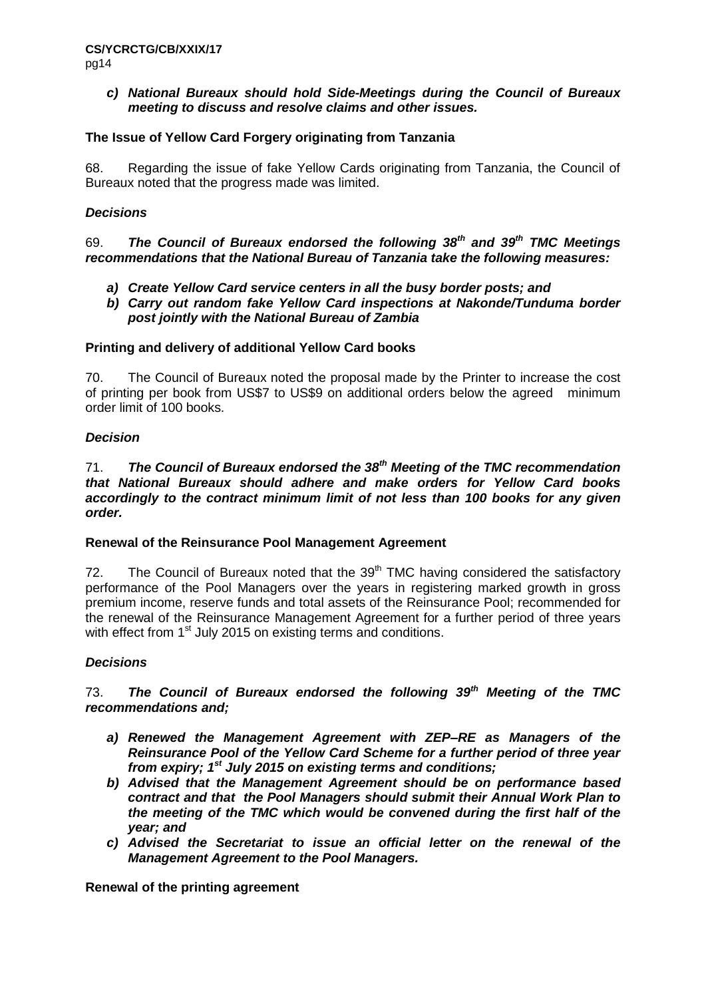#### *c) National Bureaux should hold Side-Meetings during the Council of Bureaux meeting to discuss and resolve claims and other issues.*

#### **The Issue of Yellow Card Forgery originating from Tanzania**

68. Regarding the issue of fake Yellow Cards originating from Tanzania, the Council of Bureaux noted that the progress made was limited.

#### *Decisions*

69. *The Council of Bureaux endorsed the following 38th and 39th TMC Meetings recommendations that the National Bureau of Tanzania take the following measures:* 

- *a) Create Yellow Card service centers in all the busy border posts; and*
- *b) Carry out random fake Yellow Card inspections at Nakonde/Tunduma border post jointly with the National Bureau of Zambia*

#### **Printing and delivery of additional Yellow Card books**

70. The Council of Bureaux noted the proposal made by the Printer to increase the cost of printing per book from US\$7 to US\$9 on additional orders below the agreed minimum order limit of 100 books.

# *Decision*

#### 71. *The Council of Bureaux endorsed the 38th Meeting of the TMC recommendation that National Bureaux should adhere and make orders for Yellow Card books accordingly to the contract minimum limit of not less than 100 books for any given order.*

#### **Renewal of the Reinsurance Pool Management Agreement**

72. The Council of Bureaux noted that the  $39<sup>th</sup>$  TMC having considered the satisfactory performance of the Pool Managers over the years in registering marked growth in gross premium income, reserve funds and total assets of the Reinsurance Pool; recommended for the renewal of the Reinsurance Management Agreement for a further period of three years with effect from 1<sup>st</sup> July 2015 on existing terms and conditions.

# *Decisions*

#### 73. *The Council of Bureaux endorsed the following 39th Meeting of the TMC recommendations and;*

- *a) Renewed the Management Agreement with ZEP–RE as Managers of the Reinsurance Pool of the Yellow Card Scheme for a further period of three year from expiry; 1st July 2015 on existing terms and conditions;*
- *b) Advised that the Management Agreement should be on performance based contract and that the Pool Managers should submit their Annual Work Plan to the meeting of the TMC which would be convened during the first half of the year; and*
- *c) Advised the Secretariat to issue an official letter on the renewal of the Management Agreement to the Pool Managers.*

**Renewal of the printing agreement**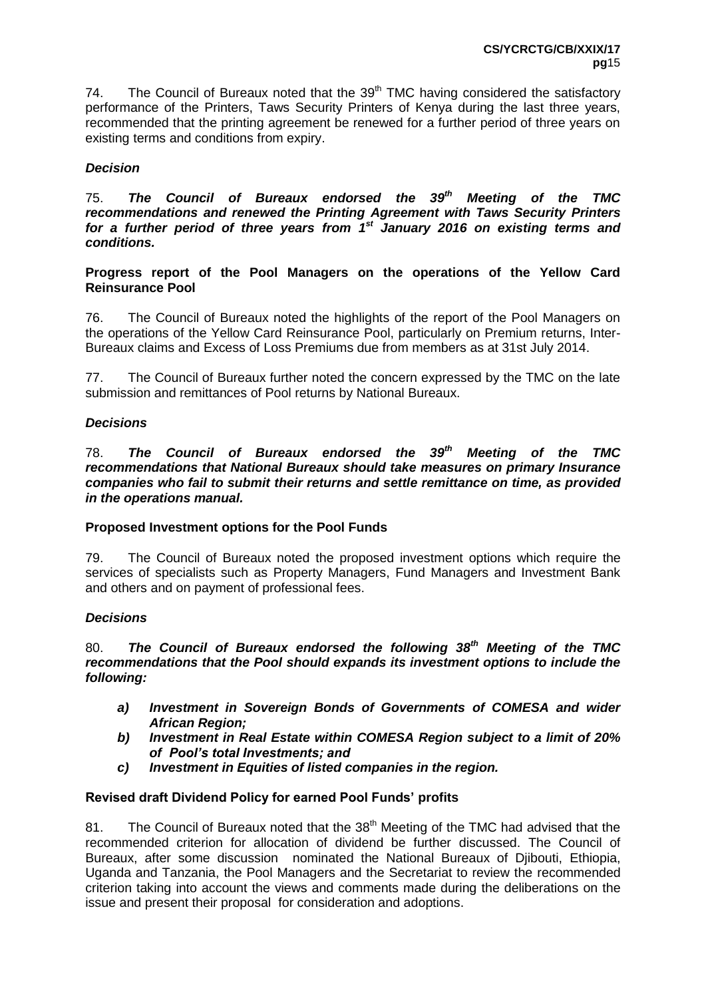74. The Council of Bureaux noted that the  $39<sup>th</sup>$  TMC having considered the satisfactory performance of the Printers, Taws Security Printers of Kenya during the last three years, recommended that the printing agreement be renewed for a further period of three years on existing terms and conditions from expiry.

# *Decision*

75. *The Council of Bureaux endorsed the 39th Meeting of the TMC recommendations and renewed the Printing Agreement with Taws Security Printers for a further period of three years from 1st January 2016 on existing terms and conditions.* 

**Progress report of the Pool Managers on the operations of the Yellow Card Reinsurance Pool** 

76. The Council of Bureaux noted the highlights of the report of the Pool Managers on the operations of the Yellow Card Reinsurance Pool, particularly on Premium returns, Inter-Bureaux claims and Excess of Loss Premiums due from members as at 31st July 2014.

77. The Council of Bureaux further noted the concern expressed by the TMC on the late submission and remittances of Pool returns by National Bureaux.

# *Decisions*

78. *The Council of Bureaux endorsed the 39th Meeting of the TMC recommendations that National Bureaux should take measures on primary Insurance companies who fail to submit their returns and settle remittance on time, as provided in the operations manual.*

# **Proposed Investment options for the Pool Funds**

79. The Council of Bureaux noted the proposed investment options which require the services of specialists such as Property Managers, Fund Managers and Investment Bank and others and on payment of professional fees.

# *Decisions*

80. *The Council of Bureaux endorsed the following 38th Meeting of the TMC recommendations that the Pool should expands its investment options to include the following:*

- *a) Investment in Sovereign Bonds of Governments of COMESA and wider African Region;*
- *b) Investment in Real Estate within COMESA Region subject to a limit of 20% of Pool's total Investments; and*
- *c) Investment in Equities of listed companies in the region.*

# **Revised draft Dividend Policy for earned Pool Funds' profits**

81. The Council of Bureaux noted that the 38<sup>th</sup> Meeting of the TMC had advised that the recommended criterion for allocation of dividend be further discussed. The Council of Bureaux, after some discussion nominated the National Bureaux of Djibouti, Ethiopia, Uganda and Tanzania, the Pool Managers and the Secretariat to review the recommended criterion taking into account the views and comments made during the deliberations on the issue and present their proposal for consideration and adoptions.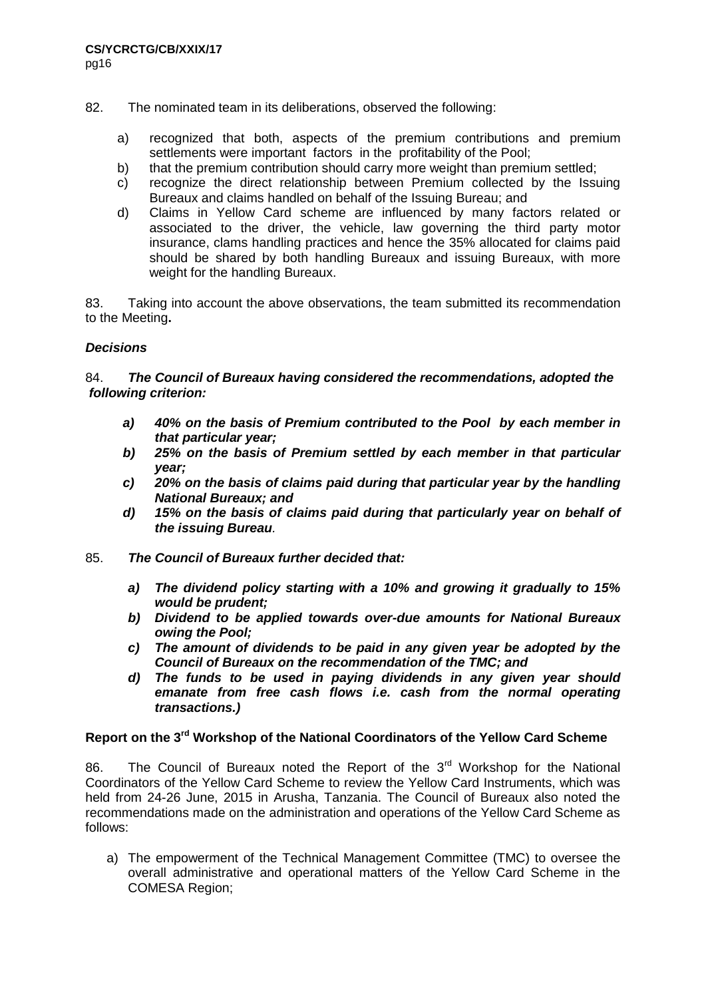- 82. The nominated team in its deliberations, observed the following:
	- a) recognized that both, aspects of the premium contributions and premium settlements were important factors in the profitability of the Pool;
	- b) that the premium contribution should carry more weight than premium settled;
	- c) recognize the direct relationship between Premium collected by the Issuing Bureaux and claims handled on behalf of the Issuing Bureau; and
	- d) Claims in Yellow Card scheme are influenced by many factors related or associated to the driver, the vehicle, law governing the third party motor insurance, clams handling practices and hence the 35% allocated for claims paid should be shared by both handling Bureaux and issuing Bureaux, with more weight for the handling Bureaux.

83. Taking into account the above observations, the team submitted its recommendation to the Meeting**.**

#### *Decisions*

#### 84. *The Council of Bureaux having considered the recommendations, adopted the following criterion:*

- *a) 40% on the basis of Premium contributed to the Pool by each member in that particular year;*
- *b) 25% on the basis of Premium settled by each member in that particular year;*
- *c) 20% on the basis of claims paid during that particular year by the handling National Bureaux; and*
- *d) 15% on the basis of claims paid during that particularly year on behalf of the issuing Bureau.*
- 85. *The Council of Bureaux further decided that:*
	- *a) The dividend policy starting with a 10% and growing it gradually to 15% would be prudent;*
	- *b) Dividend to be applied towards over-due amounts for National Bureaux owing the Pool;*
	- *c) The amount of dividends to be paid in any given year be adopted by the Council of Bureaux on the recommendation of the TMC; and*
	- *d) The funds to be used in paying dividends in any given year should*  emanate from free cash flows i.e. cash from the normal operating *transactions.)*

# **Report on the 3rd Workshop of the National Coordinators of the Yellow Card Scheme**

86. The Council of Bureaux noted the Report of the  $3<sup>rd</sup>$  Workshop for the National Coordinators of the Yellow Card Scheme to review the Yellow Card Instruments, which was held from 24-26 June, 2015 in Arusha, Tanzania. The Council of Bureaux also noted the recommendations made on the administration and operations of the Yellow Card Scheme as follows:

a) The empowerment of the Technical Management Committee (TMC) to oversee the overall administrative and operational matters of the Yellow Card Scheme in the COMESA Region;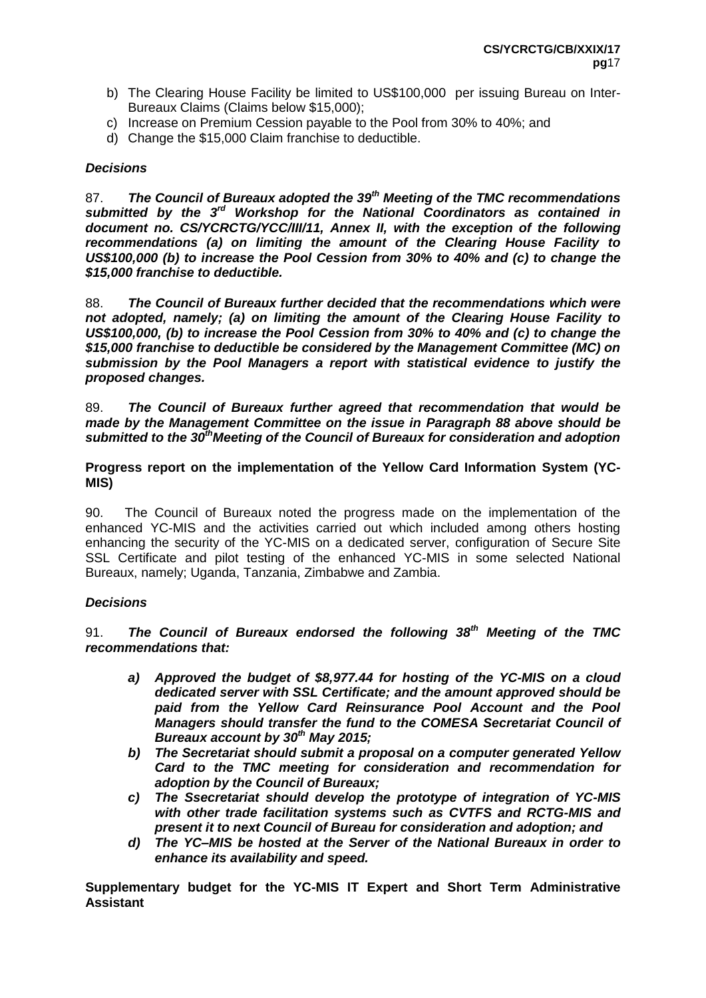- b) The Clearing House Facility be limited to US\$100,000 per issuing Bureau on Inter-Bureaux Claims (Claims below \$15,000);
- c) Increase on Premium Cession payable to the Pool from 30% to 40%; and
- d) Change the \$15,000 Claim franchise to deductible.

#### *Decisions*

87. *The Council of Bureaux adopted the 39th Meeting of the TMC recommendations submitted by the 3rd Workshop for the National Coordinators as contained in document no. CS/YCRCTG/YCC/III/11, Annex II, with the exception of the following recommendations (a) on limiting the amount of the Clearing House Facility to US\$100,000 (b) to increase the Pool Cession from 30% to 40% and (c) to change the \$15,000 franchise to deductible.*

88. *The Council of Bureaux further decided that the recommendations which were not adopted, namely; (a) on limiting the amount of the Clearing House Facility to US\$100,000, (b) to increase the Pool Cession from 30% to 40% and (c) to change the \$15,000 franchise to deductible be considered by the Management Committee (MC) on submission by the Pool Managers a report with statistical evidence to justify the proposed changes.*

89. *The Council of Bureaux further agreed that recommendation that would be made by the Management Committee on the issue in Paragraph 88 above should be submitted to the 30thMeeting of the Council of Bureaux for consideration and adoption* 

**Progress report on the implementation of the Yellow Card Information System (YC-MIS)** 

90. The Council of Bureaux noted the progress made on the implementation of the enhanced YC-MIS and the activities carried out which included among others hosting enhancing the security of the YC-MIS on a dedicated server, configuration of Secure Site SSL Certificate and pilot testing of the enhanced YC-MIS in some selected National Bureaux, namely; Uganda, Tanzania, Zimbabwe and Zambia.

# *Decisions*

91. *The Council of Bureaux endorsed the following 38th Meeting of the TMC recommendations that:*

- *a) Approved the budget of \$8,977.44 for hosting of the YC-MIS on a cloud dedicated server with SSL Certificate; and the amount approved should be paid from the Yellow Card Reinsurance Pool Account and the Pool Managers should transfer the fund to the COMESA Secretariat Council of Bureaux account by 30th May 2015;*
- *b) The Secretariat should submit a proposal on a computer generated Yellow Card to the TMC meeting for consideration and recommendation for adoption by the Council of Bureaux;*
- *c) The Ssecretariat should develop the prototype of integration of YC-MIS with other trade facilitation systems such as CVTFS and RCTG-MIS and present it to next Council of Bureau for consideration and adoption; and*
- *d) The YC–MIS be hosted at the Server of the National Bureaux in order to enhance its availability and speed.*

**Supplementary budget for the YC-MIS IT Expert and Short Term Administrative Assistant**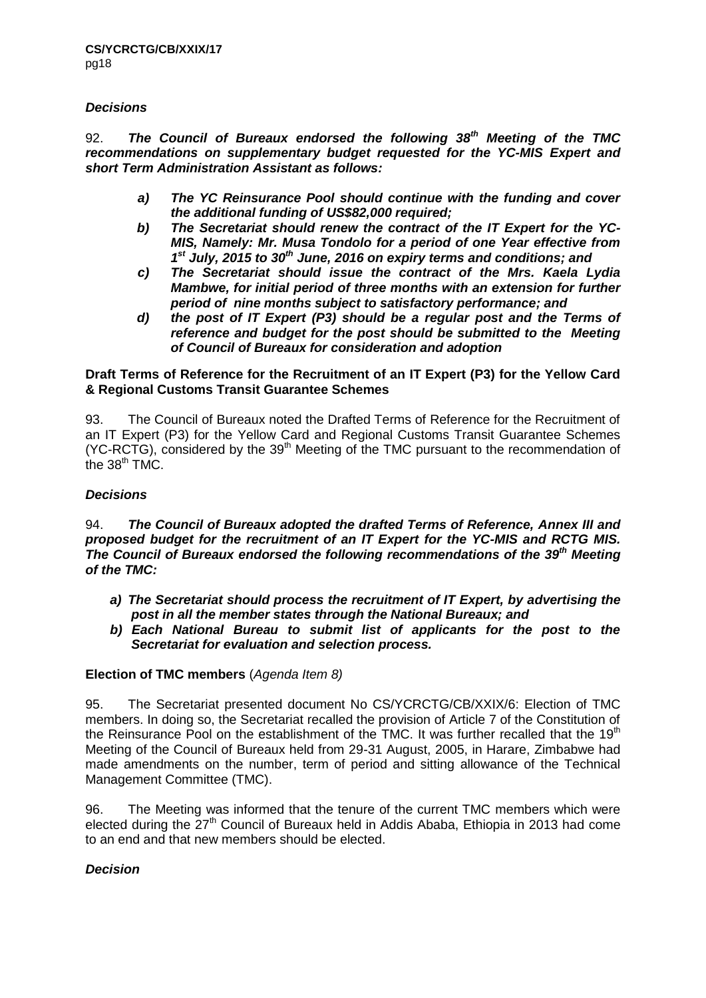# *Decisions*

92. *The Council of Bureaux endorsed the following 38th Meeting of the TMC recommendations on supplementary budget requested for the YC-MIS Expert and short Term Administration Assistant as follows:*

- *a) The YC Reinsurance Pool should continue with the funding and cover the additional funding of US\$82,000 required;*
- *b) The Secretariat should renew the contract of the IT Expert for the YC-MIS, Namely: Mr. Musa Tondolo for a period of one Year effective from 1 st July, 2015 to 30th June, 2016 on expiry terms and conditions; and*
- *c) The Secretariat should issue the contract of the Mrs. Kaela Lydia Mambwe, for initial period of three months with an extension for further period of nine months subject to satisfactory performance; and*
- *d) the post of IT Expert (P3) should be a regular post and the Terms of reference and budget for the post should be submitted to the Meeting of Council of Bureaux for consideration and adoption*

#### **Draft Terms of Reference for the Recruitment of an IT Expert (P3) for the Yellow Card & Regional Customs Transit Guarantee Schemes**

93. The Council of Bureaux noted the Drafted Terms of Reference for the Recruitment of an IT Expert (P3) for the Yellow Card and Regional Customs Transit Guarantee Schemes (YC-RCTG), considered by the 39<sup>th</sup> Meeting of the TMC pursuant to the recommendation of the  $38<sup>th</sup> TMC$ .

# *Decisions*

#### 94. *The Council of Bureaux adopted the drafted Terms of Reference, Annex III and proposed budget for the recruitment of an IT Expert for the YC-MIS and RCTG MIS. The Council of Bureaux endorsed the following recommendations of the 39th Meeting of the TMC:*

- *a) The Secretariat should process the recruitment of IT Expert, by advertising the post in all the member states through the National Bureaux; and*
- *b) Each National Bureau to submit list of applicants for the post to the Secretariat for evaluation and selection process.*

# **Election of TMC members** (*Agenda Item 8)*

95. The Secretariat presented document No CS/YCRCTG/CB/XXIX/6: Election of TMC members. In doing so, the Secretariat recalled the provision of Article 7 of the Constitution of the Reinsurance Pool on the establishment of the TMC. It was further recalled that the 19<sup>th</sup> Meeting of the Council of Bureaux held from 29-31 August, 2005, in Harare, Zimbabwe had made amendments on the number, term of period and sitting allowance of the Technical Management Committee (TMC).

96. The Meeting was informed that the tenure of the current TMC members which were elected during the 27<sup>th</sup> Council of Bureaux held in Addis Ababa, Ethiopia in 2013 had come to an end and that new members should be elected.

# *Decision*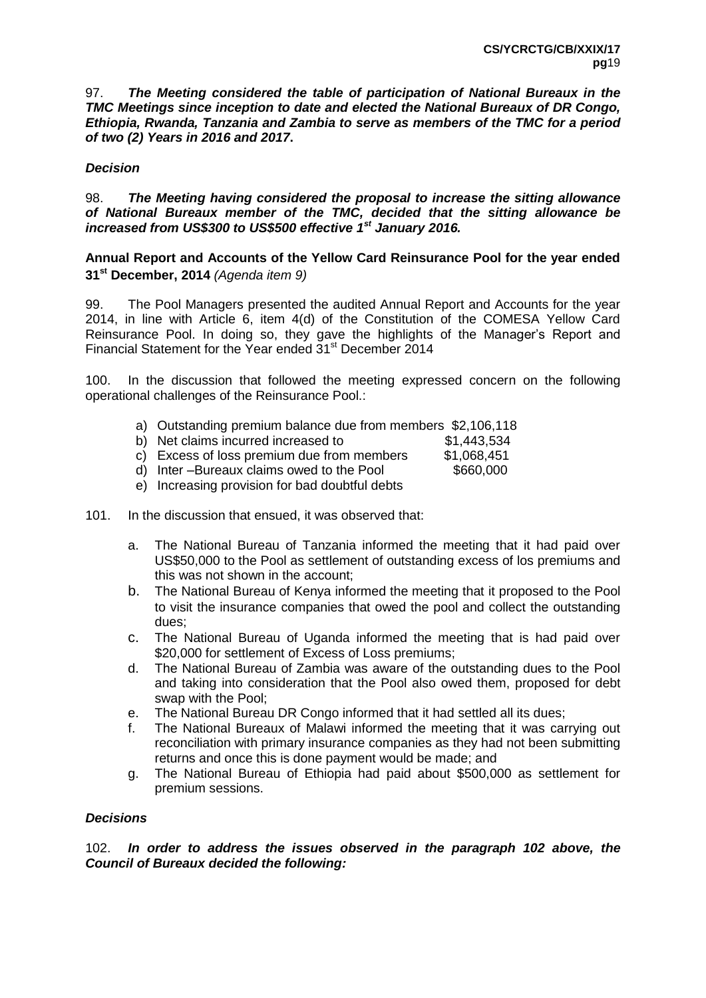97. *The Meeting considered the table of participation of National Bureaux in the TMC Meetings since inception to date and elected the National Bureaux of DR Congo, Ethiopia, Rwanda, Tanzania and Zambia to serve as members of the TMC for a period of two (2) Years in 2016 and 2017***.**

# *Decision*

98. *The Meeting having considered the proposal to increase the sitting allowance of National Bureaux member of the TMC, decided that the sitting allowance be increased from US\$300 to US\$500 effective 1st January 2016.*

# **Annual Report and Accounts of the Yellow Card Reinsurance Pool for the year ended 31st December, 2014** *(Agenda item 9)*

99. The Pool Managers presented the audited Annual Report and Accounts for the year 2014, in line with Article 6, item 4(d) of the Constitution of the COMESA Yellow Card Reinsurance Pool. In doing so, they gave the highlights of the Manager's Report and Financial Statement for the Year ended 31<sup>st</sup> December 2014

100. In the discussion that followed the meeting expressed concern on the following operational challenges of the Reinsurance Pool.:

- a) Outstanding premium balance due from members \$2,106,118
- b) Net claims incurred increased to \$1,443,534
- c) Excess of loss premium due from members \$1,068,451
- d) Inter –Bureaux claims owed to the Pool \$660,000
- e) Increasing provision for bad doubtful debts
- 101. In the discussion that ensued, it was observed that:
	- a. The National Bureau of Tanzania informed the meeting that it had paid over US\$50,000 to the Pool as settlement of outstanding excess of los premiums and this was not shown in the account;
	- b. The National Bureau of Kenya informed the meeting that it proposed to the Pool to visit the insurance companies that owed the pool and collect the outstanding dues;
	- c. The National Bureau of Uganda informed the meeting that is had paid over \$20,000 for settlement of Excess of Loss premiums;
	- d. The National Bureau of Zambia was aware of the outstanding dues to the Pool and taking into consideration that the Pool also owed them, proposed for debt swap with the Pool;
	- e. The National Bureau DR Congo informed that it had settled all its dues;
	- f. The National Bureaux of Malawi informed the meeting that it was carrying out reconciliation with primary insurance companies as they had not been submitting returns and once this is done payment would be made; and
	- g. The National Bureau of Ethiopia had paid about \$500,000 as settlement for premium sessions.

# *Decisions*

102. *In order to address the issues observed in the paragraph 102 above, the Council of Bureaux decided the following:*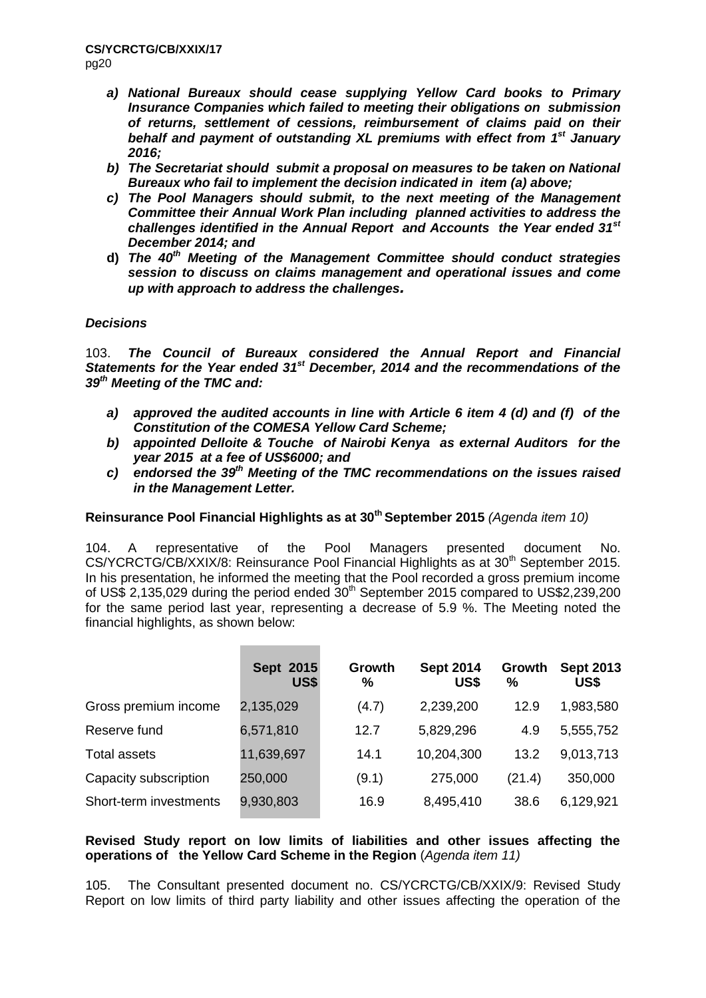- *a) National Bureaux should cease supplying Yellow Card books to Primary Insurance Companies which failed to meeting their obligations on submission of returns, settlement of cessions, reimbursement of claims paid on their behalf and payment of outstanding XL premiums with effect from 1st January 2016;*
- *b) The Secretariat should submit a proposal on measures to be taken on National Bureaux who fail to implement the decision indicated in item (a) above;*
- *c) The Pool Managers should submit, to the next meeting of the Management Committee their Annual Work Plan including planned activities to address the challenges identified in the Annual Report and Accounts the Year ended 31st December 2014; and*
- **d)** *The 40th Meeting of the Management Committee should conduct strategies session to discuss on claims management and operational issues and come up with approach to address the challenges.*

# *Decisions*

103. *The Council of Bureaux considered the Annual Report and Financial Statements for the Year ended 31st December, 2014 and the recommendations of the 39th Meeting of the TMC and:* 

- *a) approved the audited accounts in line with Article 6 item 4 (d) and (f) of the Constitution of the COMESA Yellow Card Scheme;*
- *b) appointed Delloite & Touche of Nairobi Kenya as external Auditors for the year 2015 at a fee of US\$6000; and*
- *c) endorsed the 39th Meeting of the TMC recommendations on the issues raised in the Management Letter.*

# **Reinsurance Pool Financial Highlights as at 30th September 2015** *(Agenda item 10)*

104. A representative of the Pool Managers presented document No.  $CS/YCRCTG/CB/XXIX/8$ : Reinsurance Pool Financial Highlights as at  $30<sup>th</sup>$  September 2015. In his presentation, he informed the meeting that the Pool recorded a gross premium income of US\$ 2,135,029 during the period ended  $30<sup>th</sup>$  September 2015 compared to US\$2,239,200 for the same period last year, representing a decrease of 5.9 %. The Meeting noted the financial highlights, as shown below:

|                        | <b>Sept 2015</b><br>US\$ | Growth<br>% | <b>Sept 2014</b><br>US\$ | Growth<br>% | <b>Sept 2013</b><br>US\$ |
|------------------------|--------------------------|-------------|--------------------------|-------------|--------------------------|
| Gross premium income   | 2,135,029                | (4.7)       | 2,239,200                | 12.9        | 1,983,580                |
| Reserve fund           | 6,571,810                | 12.7        | 5,829,296                | 4.9         | 5,555,752                |
| Total assets           | 11,639,697               | 14.1        | 10,204,300               | 13.2        | 9,013,713                |
| Capacity subscription  | 250,000                  | (9.1)       | 275,000                  | (21.4)      | 350,000                  |
| Short-term investments | 9,930,803                | 16.9        | 8,495,410                | 38.6        | 6,129,921                |

# **Revised Study report on low limits of liabilities and other issues affecting the operations of the Yellow Card Scheme in the Region** (*Agenda item 11)*

105. The Consultant presented document no. CS/YCRCTG/CB/XXIX/9: Revised Study Report on low limits of third party liability and other issues affecting the operation of the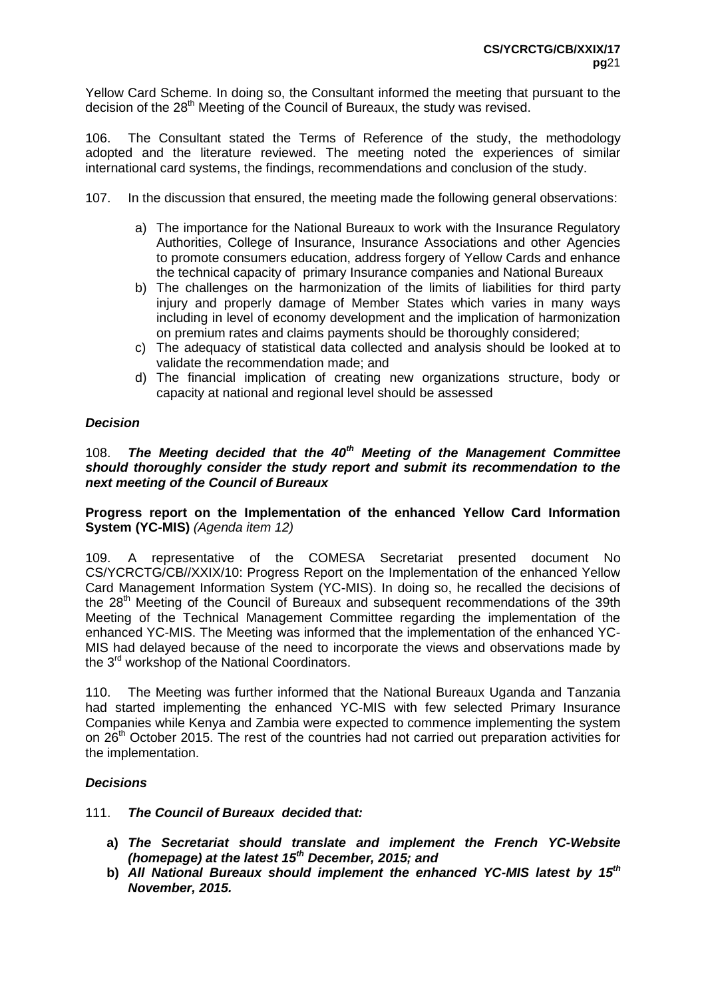Yellow Card Scheme. In doing so, the Consultant informed the meeting that pursuant to the decision of the 28<sup>th</sup> Meeting of the Council of Bureaux, the study was revised.

106. The Consultant stated the Terms of Reference of the study, the methodology adopted and the literature reviewed. The meeting noted the experiences of similar international card systems, the findings, recommendations and conclusion of the study.

- 107. In the discussion that ensured, the meeting made the following general observations:
	- a) The importance for the National Bureaux to work with the Insurance Regulatory Authorities, College of Insurance, Insurance Associations and other Agencies to promote consumers education, address forgery of Yellow Cards and enhance the technical capacity of primary Insurance companies and National Bureaux
	- b) The challenges on the harmonization of the limits of liabilities for third party injury and properly damage of Member States which varies in many ways including in level of economy development and the implication of harmonization on premium rates and claims payments should be thoroughly considered;
	- c) The adequacy of statistical data collected and analysis should be looked at to validate the recommendation made; and
	- d) The financial implication of creating new organizations structure, body or capacity at national and regional level should be assessed

# *Decision*

#### 108. *The Meeting decided that the 40th Meeting of the Management Committee should thoroughly consider the study report and submit its recommendation to the next meeting of the Council of Bureaux*

**Progress report on the Implementation of the enhanced Yellow Card Information System (YC-MIS)** *(Agenda item 12)*

109. A representative of the COMESA Secretariat presented document No CS/YCRCTG/CB//XXIX/10: Progress Report on the Implementation of the enhanced Yellow Card Management Information System (YC-MIS). In doing so, he recalled the decisions of the 28<sup>th</sup> Meeting of the Council of Bureaux and subsequent recommendations of the 39th Meeting of the Technical Management Committee regarding the implementation of the enhanced YC-MIS. The Meeting was informed that the implementation of the enhanced YC-MIS had delayed because of the need to incorporate the views and observations made by the  $3^{rd}$  workshop of the National Coordinators.

110. The Meeting was further informed that the National Bureaux Uganda and Tanzania had started implementing the enhanced YC-MIS with few selected Primary Insurance Companies while Kenya and Zambia were expected to commence implementing the system on 26<sup>th</sup> October 2015. The rest of the countries had not carried out preparation activities for the implementation.

# *Decisions*

111. *The Council of Bureaux decided that:*

- **a)** *The Secretariat should translate and implement the French YC-Website (homepage) at the latest 15th December, 2015; and*
- **b)** *All National Bureaux should implement the enhanced YC-MIS latest by 15th November, 2015.*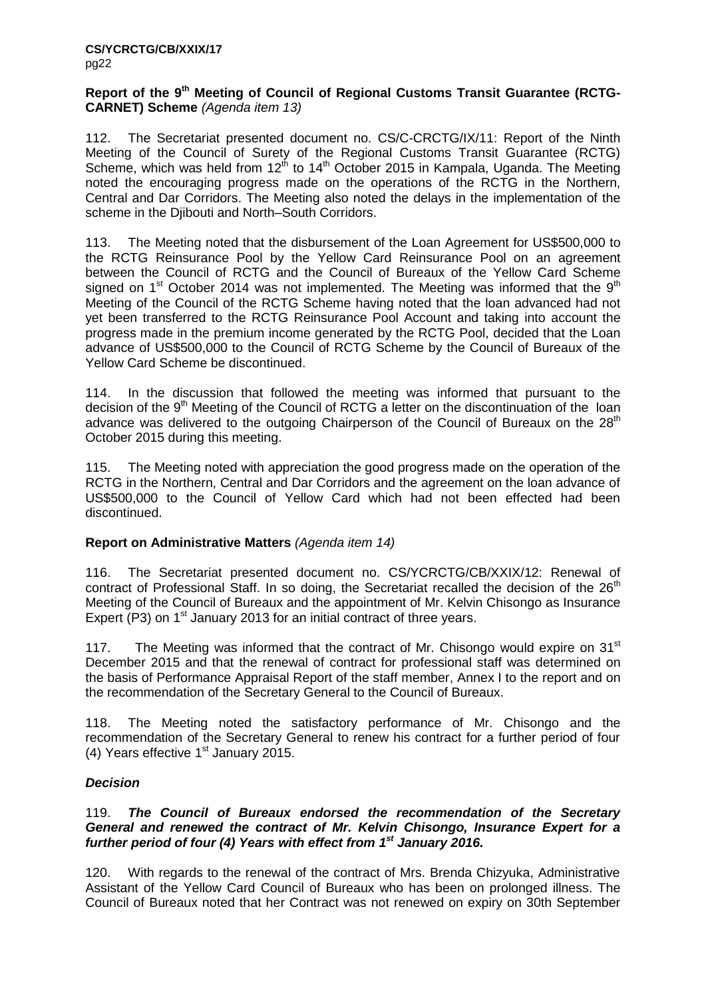#### **Report of the 9th Meeting of Council of Regional Customs Transit Guarantee (RCTG-CARNET) Scheme** *(Agenda item 13)*

112. The Secretariat presented document no. CS/C-CRCTG/IX/11: Report of the Ninth Meeting of the Council of Surety of the Regional Customs Transit Guarantee (RCTG) Scheme, which was held from  $12<sup>th</sup>$  to  $14<sup>th</sup>$  October 2015 in Kampala, Uganda. The Meeting noted the encouraging progress made on the operations of the RCTG in the Northern, Central and Dar Corridors. The Meeting also noted the delays in the implementation of the scheme in the Djibouti and North–South Corridors.

113. The Meeting noted that the disbursement of the Loan Agreement for US\$500,000 to the RCTG Reinsurance Pool by the Yellow Card Reinsurance Pool on an agreement between the Council of RCTG and the Council of Bureaux of the Yellow Card Scheme signed on  $1<sup>st</sup>$  October 2014 was not implemented. The Meeting was informed that the  $9<sup>th</sup>$ Meeting of the Council of the RCTG Scheme having noted that the loan advanced had not yet been transferred to the RCTG Reinsurance Pool Account and taking into account the progress made in the premium income generated by the RCTG Pool, decided that the Loan advance of US\$500,000 to the Council of RCTG Scheme by the Council of Bureaux of the Yellow Card Scheme be discontinued.

114. In the discussion that followed the meeting was informed that pursuant to the decision of the 9<sup>th</sup> Meeting of the Council of RCTG a letter on the discontinuation of the loan advance was delivered to the outgoing Chairperson of the Council of Bureaux on the  $28<sup>th</sup>$ October 2015 during this meeting.

115. The Meeting noted with appreciation the good progress made on the operation of the RCTG in the Northern, Central and Dar Corridors and the agreement on the loan advance of US\$500,000 to the Council of Yellow Card which had not been effected had been discontinued.

# **Report on Administrative Matters** *(Agenda item 14)*

116. The Secretariat presented document no. CS/YCRCTG/CB/XXIX/12: Renewal of contract of Professional Staff. In so doing, the Secretariat recalled the decision of the  $26<sup>th</sup>$ Meeting of the Council of Bureaux and the appointment of Mr. Kelvin Chisongo as Insurance Expert (P3) on 1<sup>st</sup> January 2013 for an initial contract of three years.

117. The Meeting was informed that the contract of Mr. Chisongo would expire on  $31<sup>st</sup>$ December 2015 and that the renewal of contract for professional staff was determined on the basis of Performance Appraisal Report of the staff member, Annex I to the report and on the recommendation of the Secretary General to the Council of Bureaux.

118. The Meeting noted the satisfactory performance of Mr. Chisongo and the recommendation of the Secretary General to renew his contract for a further period of four (4) Years effective  $1<sup>st</sup>$  January 2015.

# *Decision*

#### 119. *The Council of Bureaux endorsed the recommendation of the Secretary General and renewed the contract of Mr. Kelvin Chisongo, Insurance Expert for a*  further period of four (4) Years with effect from 1<sup>st</sup> January 2016.

120. With regards to the renewal of the contract of Mrs. Brenda Chizyuka, Administrative Assistant of the Yellow Card Council of Bureaux who has been on prolonged illness. The Council of Bureaux noted that her Contract was not renewed on expiry on 30th September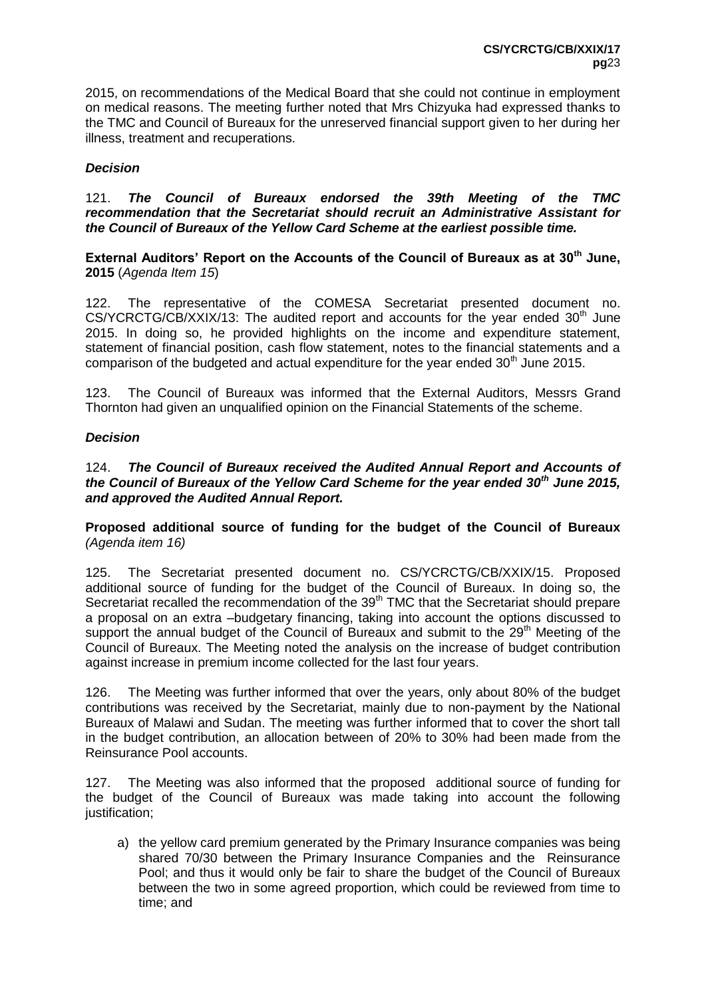2015, on recommendations of the Medical Board that she could not continue in employment on medical reasons. The meeting further noted that Mrs Chizyuka had expressed thanks to the TMC and Council of Bureaux for the unreserved financial support given to her during her illness, treatment and recuperations.

# *Decision*

121. *The Council of Bureaux endorsed the 39th Meeting of the TMC recommendation that the Secretariat should recruit an Administrative Assistant for the Council of Bureaux of the Yellow Card Scheme at the earliest possible time.*

**External Auditors' Report on the Accounts of the Council of Bureaux as at 30th June, 2015** (*Agenda Item 15*)

122. The representative of the COMESA Secretariat presented document no.  $CS/YCRCTG/CB/XXIX/13$ : The audited report and accounts for the year ended  $30<sup>th</sup>$  June 2015. In doing so, he provided highlights on the income and expenditure statement, statement of financial position, cash flow statement, notes to the financial statements and a comparison of the budgeted and actual expenditure for the year ended  $30<sup>th</sup>$  June 2015.

123. The Council of Bureaux was informed that the External Auditors, Messrs Grand Thornton had given an unqualified opinion on the Financial Statements of the scheme.

#### *Decision*

124. *The Council of Bureaux received the Audited Annual Report and Accounts of the Council of Bureaux of the Yellow Card Scheme for the year ended 30th June 2015, and approved the Audited Annual Report.* 

**Proposed additional source of funding for the budget of the Council of Bureaux**  *(Agenda item 16)*

125. The Secretariat presented document no. CS/YCRCTG/CB/XXIX/15. Proposed additional source of funding for the budget of the Council of Bureaux. In doing so, the Secretariat recalled the recommendation of the 39<sup>th</sup> TMC that the Secretariat should prepare a proposal on an extra –budgetary financing, taking into account the options discussed to support the annual budget of the Council of Bureaux and submit to the 29<sup>th</sup> Meeting of the Council of Bureaux. The Meeting noted the analysis on the increase of budget contribution against increase in premium income collected for the last four years.

126. The Meeting was further informed that over the years, only about 80% of the budget contributions was received by the Secretariat, mainly due to non-payment by the National Bureaux of Malawi and Sudan. The meeting was further informed that to cover the short tall in the budget contribution, an allocation between of 20% to 30% had been made from the Reinsurance Pool accounts.

127. The Meeting was also informed that the proposed additional source of funding for the budget of the Council of Bureaux was made taking into account the following justification;

a) the yellow card premium generated by the Primary Insurance companies was being shared 70/30 between the Primary Insurance Companies and the Reinsurance Pool; and thus it would only be fair to share the budget of the Council of Bureaux between the two in some agreed proportion, which could be reviewed from time to time; and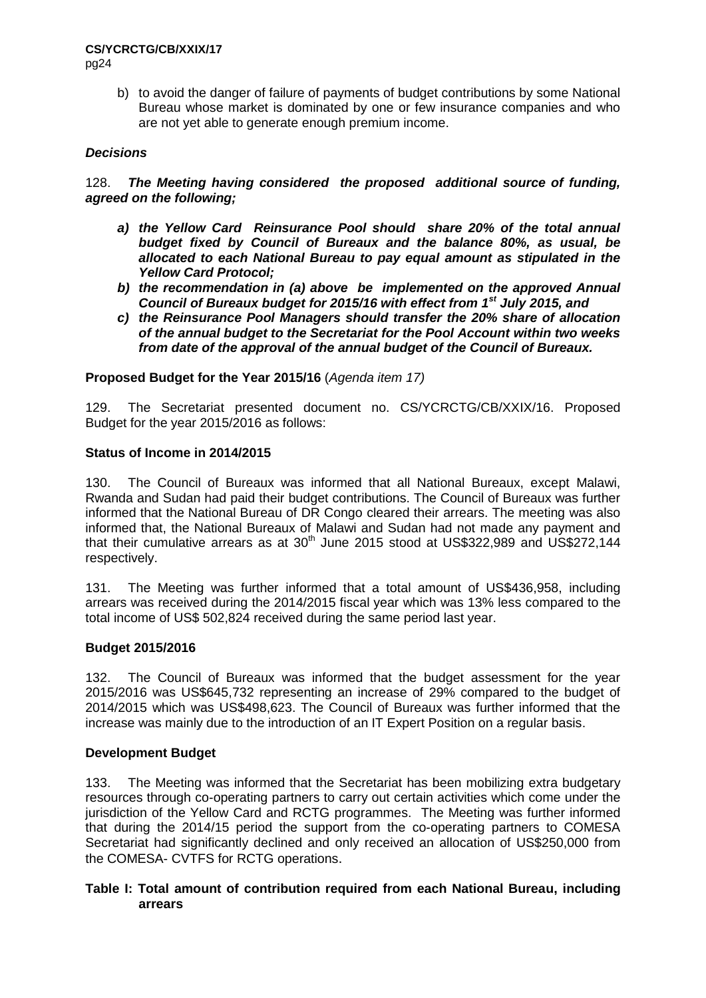# **CS/YCRCTG/CB/XXIX/17**

pg24

b) to avoid the danger of failure of payments of budget contributions by some National Bureau whose market is dominated by one or few insurance companies and who are not yet able to generate enough premium income.

# *Decisions*

128. *The Meeting having considered the proposed additional source of funding, agreed on the following;*

- *a) the Yellow Card Reinsurance Pool should share 20% of the total annual budget fixed by Council of Bureaux and the balance 80%, as usual, be allocated to each National Bureau to pay equal amount as stipulated in the Yellow Card Protocol;*
- *b) the recommendation in (a) above be implemented on the approved Annual Council of Bureaux budget for 2015/16 with effect from 1st July 2015, and*
- *c) the Reinsurance Pool Managers should transfer the 20% share of allocation of the annual budget to the Secretariat for the Pool Account within two weeks from date of the approval of the annual budget of the Council of Bureaux.*

#### **Proposed Budget for the Year 2015/16** (*Agenda item 17)*

129. The Secretariat presented document no. CS/YCRCTG/CB/XXIX/16. Proposed Budget for the year 2015/2016 as follows:

#### **Status of Income in 2014/2015**

130. The Council of Bureaux was informed that all National Bureaux, except Malawi, Rwanda and Sudan had paid their budget contributions. The Council of Bureaux was further informed that the National Bureau of DR Congo cleared their arrears. The meeting was also informed that, the National Bureaux of Malawi and Sudan had not made any payment and that their cumulative arrears as at  $30<sup>th</sup>$  June 2015 stood at US\$322,989 and US\$272,144 respectively.

131. The Meeting was further informed that a total amount of US\$436,958, including arrears was received during the 2014/2015 fiscal year which was 13% less compared to the total income of US\$ 502,824 received during the same period last year.

#### **Budget 2015/2016**

132. The Council of Bureaux was informed that the budget assessment for the year 2015/2016 was US\$645,732 representing an increase of 29% compared to the budget of 2014/2015 which was US\$498,623. The Council of Bureaux was further informed that the increase was mainly due to the introduction of an IT Expert Position on a regular basis.

# **Development Budget**

133. The Meeting was informed that the Secretariat has been mobilizing extra budgetary resources through co-operating partners to carry out certain activities which come under the jurisdiction of the Yellow Card and RCTG programmes. The Meeting was further informed that during the 2014/15 period the support from the co-operating partners to COMESA Secretariat had significantly declined and only received an allocation of US\$250,000 from the COMESA- CVTFS for RCTG operations.

#### **Table I: Total amount of contribution required from each National Bureau, including arrears**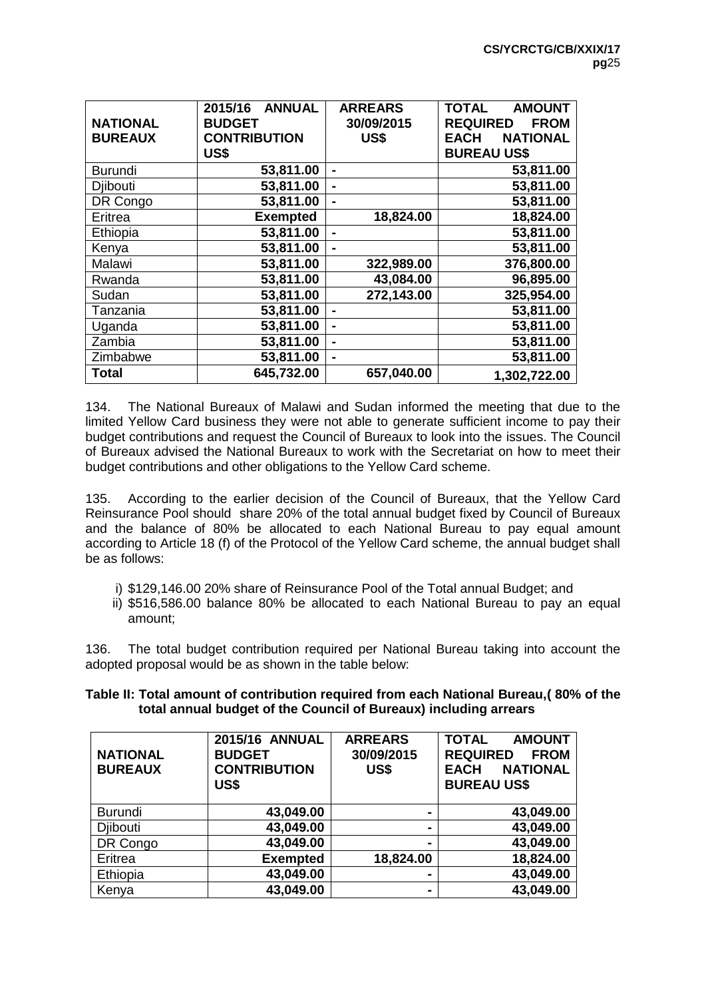| <b>NATIONAL</b><br><b>BUREAUX</b> | <b>ANNUAL</b><br>2015/16<br><b>BUDGET</b><br><b>CONTRIBUTION</b><br>US\$ | <b>ARREARS</b><br>30/09/2015<br>US\$ | <b>TOTAL</b><br><b>AMOUNT</b><br><b>REQUIRED</b><br><b>FROM</b><br><b>NATIONAL</b><br><b>EACH</b><br><b>BUREAU US\$</b> |
|-----------------------------------|--------------------------------------------------------------------------|--------------------------------------|-------------------------------------------------------------------------------------------------------------------------|
| <b>Burundi</b>                    | 53,811.00                                                                | $\blacksquare$                       | 53,811.00                                                                                                               |
| <b>Djibouti</b>                   | 53,811.00                                                                |                                      | 53,811.00                                                                                                               |
| DR Congo                          | 53,811.00                                                                |                                      | 53,811.00                                                                                                               |
| Eritrea                           | <b>Exempted</b>                                                          | 18,824.00                            | 18,824.00                                                                                                               |
| Ethiopia                          | 53,811.00                                                                |                                      | 53,811.00                                                                                                               |
| Kenya                             | 53,811.00                                                                |                                      | 53,811.00                                                                                                               |
| Malawi                            | 53,811.00                                                                | 322,989.00                           | 376,800.00                                                                                                              |
| Rwanda                            | 53,811.00                                                                | 43,084.00                            | 96,895.00                                                                                                               |
| Sudan                             | 53,811.00                                                                | 272,143.00                           | 325,954.00                                                                                                              |
| Tanzania                          | 53,811.00                                                                |                                      | 53,811.00                                                                                                               |
| Uganda                            | 53,811.00                                                                | $\blacksquare$                       | 53,811.00                                                                                                               |
| Zambia                            | 53,811.00                                                                | $\blacksquare$                       | 53,811.00                                                                                                               |
| Zimbabwe                          | 53,811.00                                                                | $\blacksquare$                       | 53,811.00                                                                                                               |
| Total                             | 645,732.00                                                               | 657,040.00                           | 1,302,722.00                                                                                                            |

134. The National Bureaux of Malawi and Sudan informed the meeting that due to the limited Yellow Card business they were not able to generate sufficient income to pay their budget contributions and request the Council of Bureaux to look into the issues. The Council of Bureaux advised the National Bureaux to work with the Secretariat on how to meet their budget contributions and other obligations to the Yellow Card scheme.

135. According to the earlier decision of the Council of Bureaux, that the Yellow Card Reinsurance Pool should share 20% of the total annual budget fixed by Council of Bureaux and the balance of 80% be allocated to each National Bureau to pay equal amount according to Article 18 (f) of the Protocol of the Yellow Card scheme, the annual budget shall be as follows:

- i) \$129,146.00 20% share of Reinsurance Pool of the Total annual Budget; and
- ii) \$516,586.00 balance 80% be allocated to each National Bureau to pay an equal amount;

136. The total budget contribution required per National Bureau taking into account the adopted proposal would be as shown in the table below:

| Table II: Total amount of contribution required from each National Bureau,( 80% of the |  |
|----------------------------------------------------------------------------------------|--|
| total annual budget of the Council of Bureaux) including arrears                       |  |

| <b>NATIONAL</b><br><b>BUREAUX</b> | <b>2015/16 ANNUAL</b><br><b>BUDGET</b><br><b>CONTRIBUTION</b><br>US\$ | <b>ARREARS</b><br>30/09/2015<br>US\$ | <b>AMOUNT</b><br><b>TOTAL</b><br><b>REQUIRED</b><br><b>FROM</b><br><b>NATIONAL</b><br><b>EACH</b><br><b>BUREAU US\$</b> |
|-----------------------------------|-----------------------------------------------------------------------|--------------------------------------|-------------------------------------------------------------------------------------------------------------------------|
| <b>Burundi</b>                    | 43,049.00                                                             |                                      | 43,049.00                                                                                                               |
| <b>Diibouti</b>                   | 43,049.00                                                             | $\blacksquare$                       | 43,049.00                                                                                                               |
| DR Congo                          | 43,049.00                                                             |                                      | 43,049.00                                                                                                               |
| Eritrea                           | <b>Exempted</b>                                                       | 18,824.00                            | 18,824.00                                                                                                               |
| Ethiopia                          | 43,049.00                                                             |                                      | 43,049.00                                                                                                               |
| Kenya                             | 43,049.00                                                             | $\blacksquare$                       | 43,049.00                                                                                                               |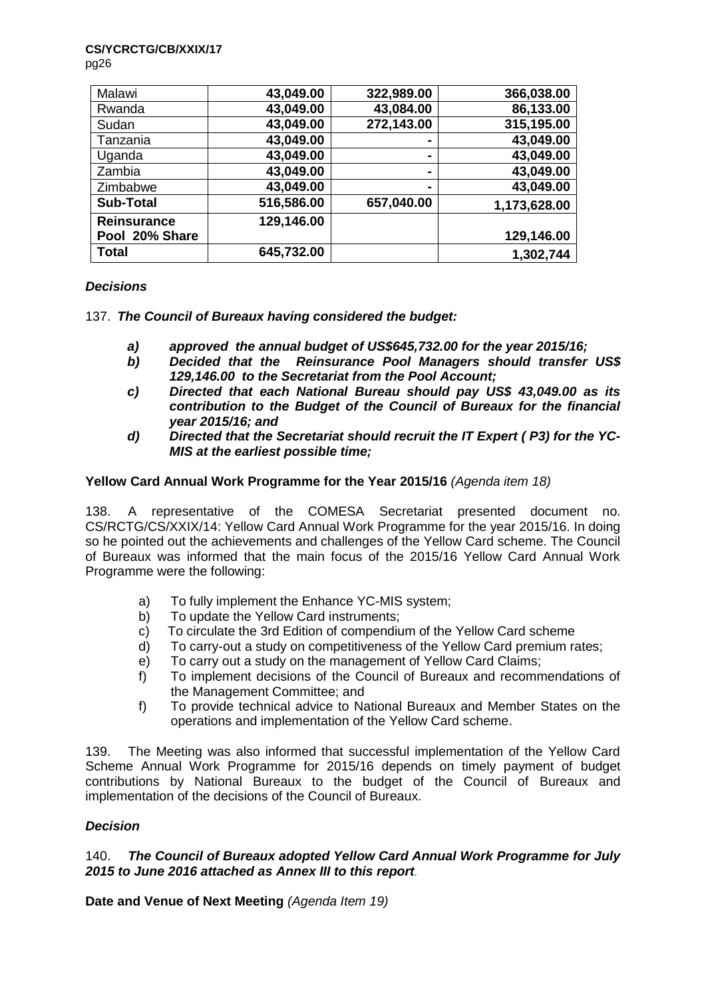#### **CS/YCRCTG/CB/XXIX/17**

pg26

| Malawi             | 43,049.00  | 322,989.00     | 366,038.00   |
|--------------------|------------|----------------|--------------|
| Rwanda             | 43,049.00  | 43,084.00      | 86,133.00    |
| Sudan              | 43,049.00  | 272,143.00     | 315,195.00   |
| Tanzania           | 43,049.00  | -              | 43,049.00    |
| Uganda             | 43,049.00  | ۰              | 43,049.00    |
| Zambia             | 43,049.00  | ۰              | 43,049.00    |
| Zimbabwe           | 43,049.00  | $\blacksquare$ | 43,049.00    |
| <b>Sub-Total</b>   | 516,586.00 | 657,040.00     | 1,173,628.00 |
| <b>Reinsurance</b> | 129,146.00 |                |              |
| Pool 20% Share     |            |                | 129,146.00   |
| <b>Total</b>       | 645,732.00 |                | 1,302,744    |

# *Decisions*

137. *The Council of Bureaux having considered the budget:*

- *a) approved the annual budget of US\$645,732.00 for the year 2015/16;*
- *b) Decided that the Reinsurance Pool Managers should transfer US\$ 129,146.00 to the Secretariat from the Pool Account;*
- *c) Directed that each National Bureau should pay US\$ 43,049.00 as its contribution to the Budget of the Council of Bureaux for the financial year 2015/16; and*
- *d) Directed that the Secretariat should recruit the IT Expert ( P3) for the YC-MIS at the earliest possible time;*

# **Yellow Card Annual Work Programme for the Year 2015/16** *(Agenda item 18)*

138. A representative of the COMESA Secretariat presented document no. CS/RCTG/CS/XXIX/14: Yellow Card Annual Work Programme for the year 2015/16. In doing so he pointed out the achievements and challenges of the Yellow Card scheme. The Council of Bureaux was informed that the main focus of the 2015/16 Yellow Card Annual Work Programme were the following:

- a) To fully implement the Enhance YC-MIS system;
- b) To update the Yellow Card instruments;
- c) To circulate the 3rd Edition of compendium of the Yellow Card scheme
- d) To carry-out a study on competitiveness of the Yellow Card premium rates;
- e) To carry out a study on the management of Yellow Card Claims;
- f) To implement decisions of the Council of Bureaux and recommendations of the Management Committee; and
- f) To provide technical advice to National Bureaux and Member States on the operations and implementation of the Yellow Card scheme.

139. The Meeting was also informed that successful implementation of the Yellow Card Scheme Annual Work Programme for 2015/16 depends on timely payment of budget contributions by National Bureaux to the budget of the Council of Bureaux and implementation of the decisions of the Council of Bureaux.

# *Decision*

# 140. *The Council of Bureaux adopted Yellow Card Annual Work Programme for July 2015 to June 2016 attached as Annex III to this report.*

**Date and Venue of Next Meeting** *(Agenda Item 19)*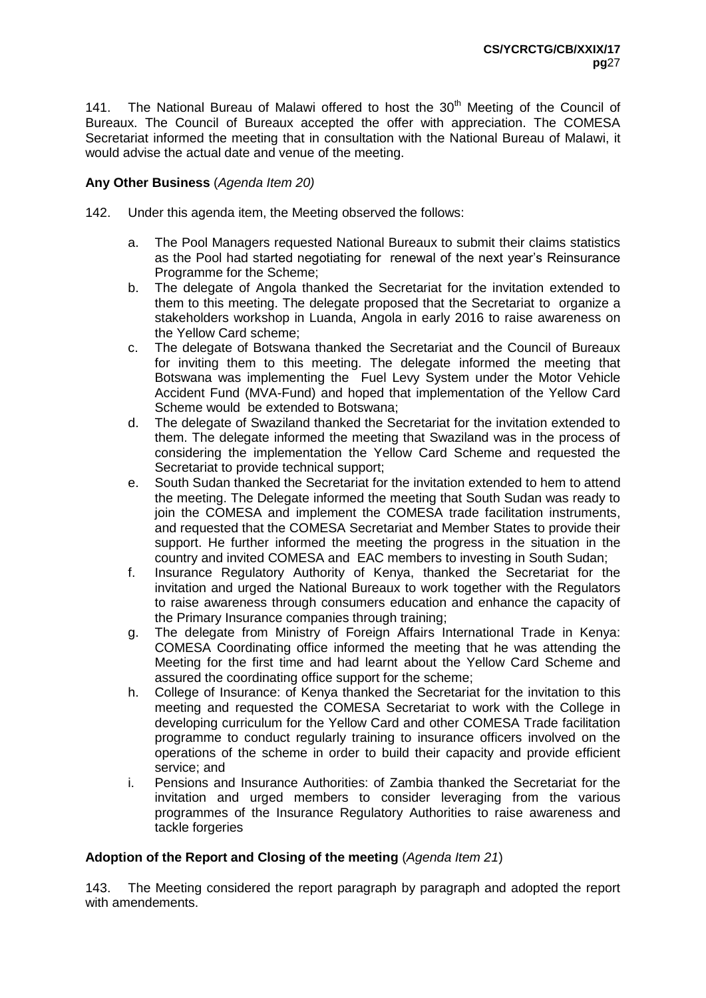141. The National Bureau of Malawi offered to host the  $30<sup>th</sup>$  Meeting of the Council of Bureaux. The Council of Bureaux accepted the offer with appreciation. The COMESA Secretariat informed the meeting that in consultation with the National Bureau of Malawi, it would advise the actual date and venue of the meeting.

# **Any Other Business** (*Agenda Item 20)*

- 142. Under this agenda item, the Meeting observed the follows:
	- a. The Pool Managers requested National Bureaux to submit their claims statistics as the Pool had started negotiating for renewal of the next year's Reinsurance Programme for the Scheme;
	- b. The delegate of Angola thanked the Secretariat for the invitation extended to them to this meeting. The delegate proposed that the Secretariat to organize a stakeholders workshop in Luanda, Angola in early 2016 to raise awareness on the Yellow Card scheme;
	- c. The delegate of Botswana thanked the Secretariat and the Council of Bureaux for inviting them to this meeting. The delegate informed the meeting that Botswana was implementing the Fuel Levy System under the Motor Vehicle Accident Fund (MVA-Fund) and hoped that implementation of the Yellow Card Scheme would be extended to Botswana;
	- d. The delegate of Swaziland thanked the Secretariat for the invitation extended to them. The delegate informed the meeting that Swaziland was in the process of considering the implementation the Yellow Card Scheme and requested the Secretariat to provide technical support;
	- e. South Sudan thanked the Secretariat for the invitation extended to hem to attend the meeting. The Delegate informed the meeting that South Sudan was ready to join the COMESA and implement the COMESA trade facilitation instruments, and requested that the COMESA Secretariat and Member States to provide their support. He further informed the meeting the progress in the situation in the country and invited COMESA and EAC members to investing in South Sudan;
	- f. Insurance Regulatory Authority of Kenya, thanked the Secretariat for the invitation and urged the National Bureaux to work together with the Regulators to raise awareness through consumers education and enhance the capacity of the Primary Insurance companies through training;
	- g. The delegate from Ministry of Foreign Affairs International Trade in Kenya: COMESA Coordinating office informed the meeting that he was attending the Meeting for the first time and had learnt about the Yellow Card Scheme and assured the coordinating office support for the scheme;
	- h. College of Insurance: of Kenya thanked the Secretariat for the invitation to this meeting and requested the COMESA Secretariat to work with the College in developing curriculum for the Yellow Card and other COMESA Trade facilitation programme to conduct regularly training to insurance officers involved on the operations of the scheme in order to build their capacity and provide efficient service; and
	- i. Pensions and Insurance Authorities: of Zambia thanked the Secretariat for the invitation and urged members to consider leveraging from the various programmes of the Insurance Regulatory Authorities to raise awareness and tackle forgeries

# **Adoption of the Report and Closing of the meeting** (*Agenda Item 21*)

143. The Meeting considered the report paragraph by paragraph and adopted the report with amendements.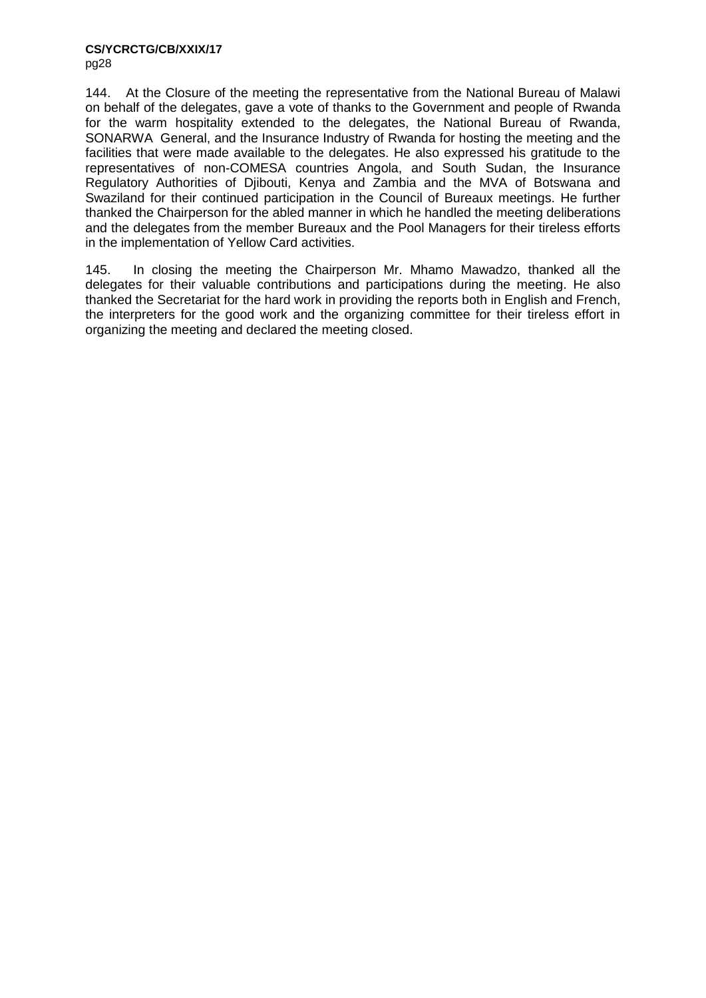144. At the Closure of the meeting the representative from the National Bureau of Malawi on behalf of the delegates, gave a vote of thanks to the Government and people of Rwanda for the warm hospitality extended to the delegates, the National Bureau of Rwanda, SONARWA General, and the Insurance Industry of Rwanda for hosting the meeting and the facilities that were made available to the delegates. He also expressed his gratitude to the representatives of non-COMESA countries Angola, and South Sudan, the Insurance Regulatory Authorities of Djibouti, Kenya and Zambia and the MVA of Botswana and Swaziland for their continued participation in the Council of Bureaux meetings. He further thanked the Chairperson for the abled manner in which he handled the meeting deliberations and the delegates from the member Bureaux and the Pool Managers for their tireless efforts in the implementation of Yellow Card activities.

145. In closing the meeting the Chairperson Mr. Mhamo Mawadzo, thanked all the delegates for their valuable contributions and participations during the meeting. He also thanked the Secretariat for the hard work in providing the reports both in English and French, the interpreters for the good work and the organizing committee for their tireless effort in organizing the meeting and declared the meeting closed.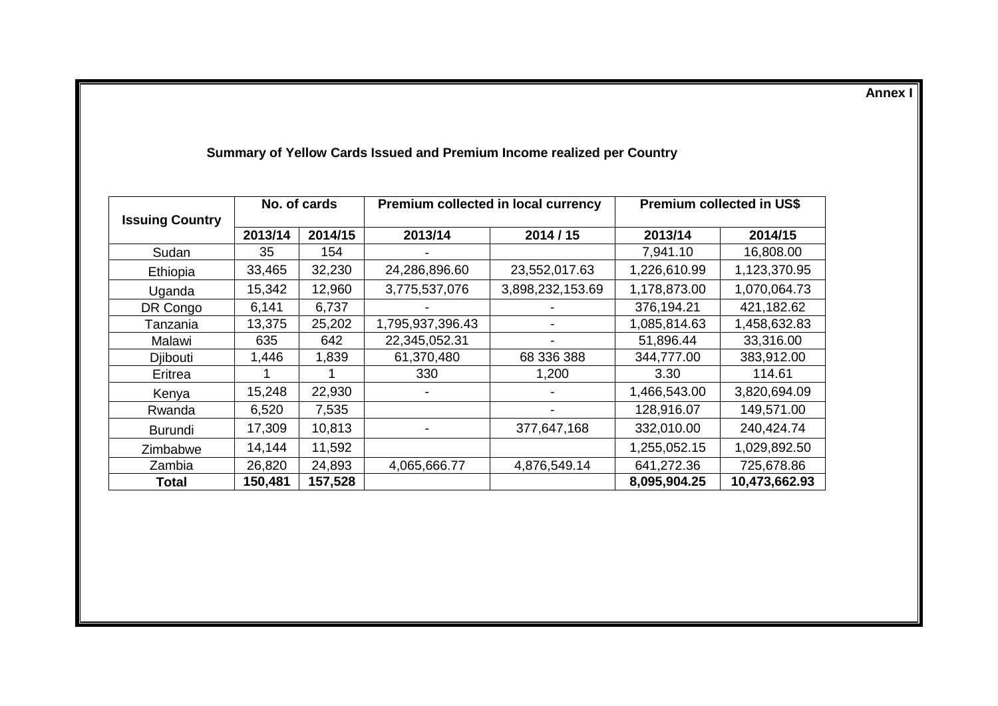**Annex I**

|                        |         | No. of cards |                  | Premium collected in local currency | <b>Premium collected in US\$</b> |               |  |
|------------------------|---------|--------------|------------------|-------------------------------------|----------------------------------|---------------|--|
| <b>Issuing Country</b> | 2013/14 | 2014/15      | 2013/14          | 2014/15                             | 2013/14                          | 2014/15       |  |
| Sudan                  | 35      | 154          |                  |                                     | 7,941.10                         | 16,808.00     |  |
| Ethiopia               | 33,465  | 32,230       | 24,286,896.60    | 23,552,017.63                       | 1,226,610.99                     | 1,123,370.95  |  |
| Uganda                 | 15,342  | 12,960       | 3,775,537,076    | 3,898,232,153.69                    | 1,178,873.00                     | 1,070,064.73  |  |
| DR Congo               | 6,141   | 6,737        |                  |                                     | 376,194.21                       | 421,182.62    |  |
| Tanzania               | 13,375  | 25,202       | 1,795,937,396.43 |                                     | 1,085,814.63                     | 1,458,632.83  |  |
| Malawi                 | 635     | 642          | 22,345,052.31    |                                     | 51,896.44                        | 33,316.00     |  |
| Djibouti               | 1,446   | 1,839        | 61,370,480       | 68 336 388                          | 344,777.00                       | 383,912.00    |  |
| Eritrea                |         |              | 330              | 1,200                               | 3.30                             | 114.61        |  |
| Kenya                  | 15,248  | 22,930       |                  |                                     | 1,466,543.00                     | 3,820,694.09  |  |
| Rwanda                 | 6,520   | 7,535        |                  |                                     | 128,916.07                       | 149,571.00    |  |
| <b>Burundi</b>         | 17,309  | 10,813       |                  | 377,647,168                         | 332,010.00                       | 240,424.74    |  |
| Zimbabwe               | 14,144  | 11,592       |                  |                                     | 1,255,052.15                     | 1,029,892.50  |  |
| Zambia                 | 26,820  | 24,893       | 4,065,666.77     | 4,876,549.14                        | 641,272.36                       | 725,678.86    |  |
| Total                  | 150,481 | 157,528      |                  |                                     | 8,095,904.25                     | 10,473,662.93 |  |

# **Summary of Yellow Cards Issued and Premium Income realized per Country**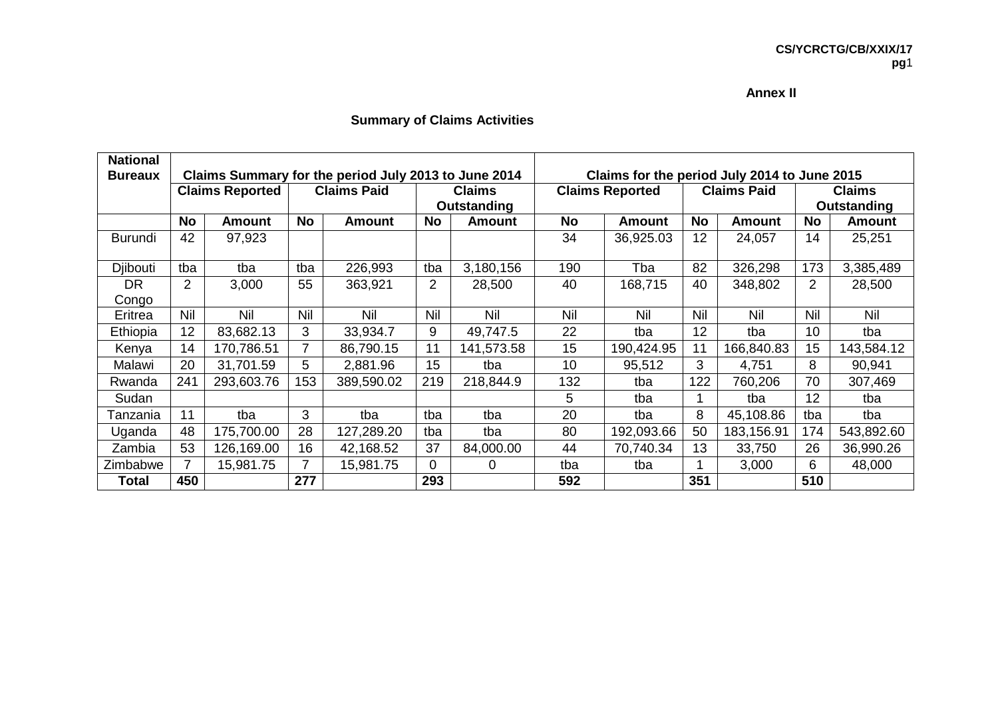#### **Annex II**

# **Summary of Claims Activities**

| <b>National</b> |                |                        |           |                                                      |                |               |                 |                                              |            |                    |                |               |
|-----------------|----------------|------------------------|-----------|------------------------------------------------------|----------------|---------------|-----------------|----------------------------------------------|------------|--------------------|----------------|---------------|
| <b>Bureaux</b>  |                |                        |           | Claims Summary for the period July 2013 to June 2014 |                |               |                 | Claims for the period July 2014 to June 2015 |            |                    |                |               |
|                 |                | <b>Claims Reported</b> |           | <b>Claims Paid</b>                                   |                | <b>Claims</b> |                 | <b>Claims Reported</b>                       |            | <b>Claims Paid</b> | <b>Claims</b>  |               |
|                 |                |                        |           |                                                      |                | Outstanding   |                 |                                              |            |                    | Outstanding    |               |
|                 | <b>No</b>      | <b>Amount</b>          | <b>No</b> | Amount                                               | <b>No</b>      | Amount        | <b>No</b>       | <b>Amount</b>                                | No         | <b>Amount</b>      | <b>No</b>      | <b>Amount</b> |
| <b>Burundi</b>  | 42             | 97,923                 |           |                                                      |                |               | 34              | 36,925.03                                    | 12         | 24,057             | 14             | 25,251        |
| Djibouti        | tba            | tba                    | tba       | 226,993                                              | tba            | 3,180,156     | 190             | Tba                                          | 82         | 326,298            | 173            | 3,385,489     |
| <b>DR</b>       | $\overline{2}$ | 3,000                  | 55        | 363,921                                              | $\overline{2}$ | 28,500        | 40              | 168,715                                      | 40         | 348,802            | $\overline{2}$ | 28,500        |
| Congo           |                |                        |           |                                                      |                |               |                 |                                              |            |                    |                |               |
| Eritrea         | Nil            | Nil                    | Nil       | Nil                                                  | Nil            | Nil           | Nil             | Nil                                          | <b>Nil</b> | Nil                | Nil            | Nil           |
| Ethiopia        | 12             | 83,682.13              | 3         | 33,934.7                                             | 9              | 49,747.5      | 22              | tba                                          | 12         | tba                | 10             | tba           |
| Kenya           | 14             | 170,786.51             | 7         | 86,790.15                                            | 11             | 141,573.58    | 15              | 190,424.95                                   | 11         | 166,840.83         | 15             | 143,584.12    |
| Malawi          | 20             | 31,701.59              | 5         | 2,881.96                                             | 15             | tba           | 10 <sup>1</sup> | 95,512                                       | 3          | 4,751              | 8              | 90,941        |
| Rwanda          | 241            | 293,603.76             | 153       | 389,590.02                                           | 219            | 218,844.9     | 132             | tba                                          | 122        | 760,206            | 70             | 307,469       |
| Sudan           |                |                        |           |                                                      |                |               | 5               | tba                                          |            | tba                | 12             | tba           |
| Tanzania        | 11             | tba                    | 3         | tba                                                  | tba            | tba           | 20              | tba                                          | 8          | 45,108.86          | tba            | tba           |
| Uganda          | 48             | 175,700.00             | 28        | 127,289.20                                           | tba            | tba           | 80              | 192,093.66                                   | 50         | 183,156.91         | 174            | 543,892.60    |
| Zambia          | 53             | 126,169.00             | 16        | 42,168.52                                            | 37             | 84,000.00     | 44              | 70,740.34                                    | 13         | 33,750             | 26             | 36,990.26     |
| Zimbabwe        | $\overline{ }$ | 15,981.75              | 7         | 15,981.75                                            | 0              | 0             | tba             | tba                                          |            | 3,000              | 6              | 48,000        |
| Total           | 450            |                        | 277       |                                                      | 293            |               | 592             |                                              | 351        |                    | 510            |               |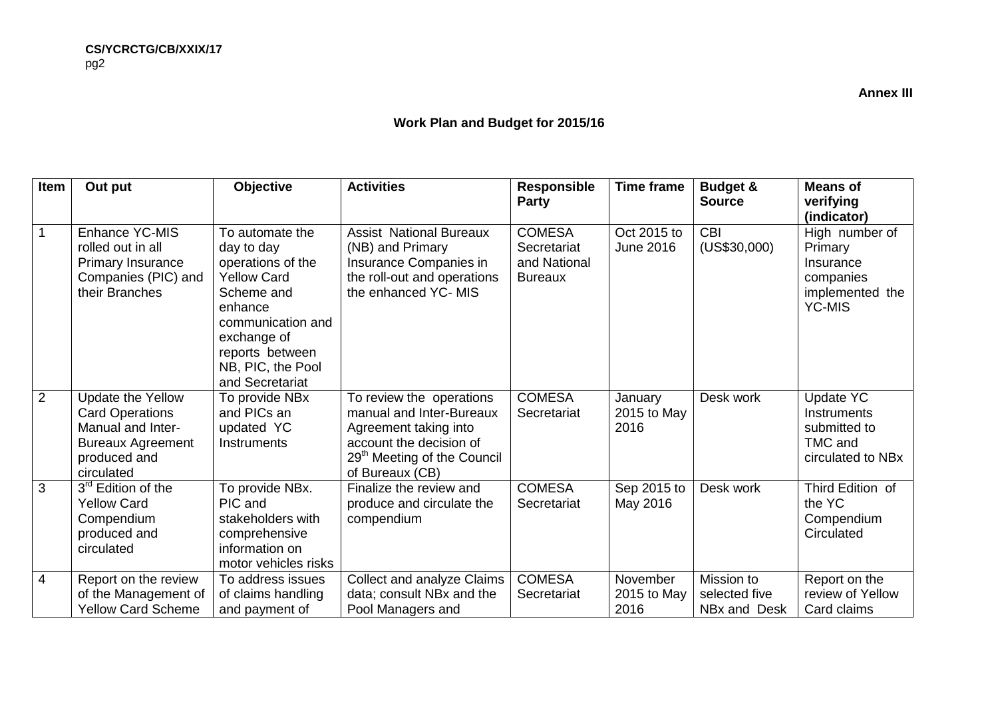# **Work Plan and Budget for 2015/16**

| Item           | Out put                                                                                                                    | Objective                                                                                                                                                                                        | <b>Activities</b>                                                                                                                                                      | <b>Responsible</b><br><b>Party</b>                             | <b>Time frame</b>               | <b>Budget &amp;</b><br><b>Source</b>        | <b>Means of</b><br>verifying<br>(indicator)                                             |
|----------------|----------------------------------------------------------------------------------------------------------------------------|--------------------------------------------------------------------------------------------------------------------------------------------------------------------------------------------------|------------------------------------------------------------------------------------------------------------------------------------------------------------------------|----------------------------------------------------------------|---------------------------------|---------------------------------------------|-----------------------------------------------------------------------------------------|
|                | Enhance YC-MIS<br>rolled out in all<br><b>Primary Insurance</b><br>Companies (PIC) and<br>their Branches                   | To automate the<br>day to day<br>operations of the<br><b>Yellow Card</b><br>Scheme and<br>enhance<br>communication and<br>exchange of<br>reports between<br>NB, PIC, the Pool<br>and Secretariat | <b>Assist National Bureaux</b><br>(NB) and Primary<br>Insurance Companies in<br>the roll-out and operations<br>the enhanced YC- MIS                                    | <b>COMESA</b><br>Secretariat<br>and National<br><b>Bureaux</b> | Oct 2015 to<br><b>June 2016</b> | <b>CBI</b><br>(US\$30,000)                  | High number of<br>Primary<br>Insurance<br>companies<br>implemented the<br><b>YC-MIS</b> |
| $\overline{2}$ | Update the Yellow<br><b>Card Operations</b><br>Manual and Inter-<br><b>Bureaux Agreement</b><br>produced and<br>circulated | To provide NBx<br>and PICs an<br>updated YC<br>Instruments                                                                                                                                       | To review the operations<br>manual and Inter-Bureaux<br>Agreement taking into<br>account the decision of<br>29 <sup>th</sup> Meeting of the Council<br>of Bureaux (CB) | <b>COMESA</b><br>Secretariat                                   | January<br>2015 to May<br>2016  | Desk work                                   | <b>Update YC</b><br><b>Instruments</b><br>submitted to<br>TMC and<br>circulated to NBx  |
| 3              | 3rd Edition of the<br><b>Yellow Card</b><br>Compendium<br>produced and<br>circulated                                       | To provide NBx.<br>PIC and<br>stakeholders with<br>comprehensive<br>information on<br>motor vehicles risks                                                                                       | Finalize the review and<br>produce and circulate the<br>compendium                                                                                                     | <b>COMESA</b><br>Secretariat                                   | Sep 2015 to<br>May 2016         | Desk work                                   | Third Edition of<br>the YC<br>Compendium<br>Circulated                                  |
| 4              | Report on the review<br>of the Management of<br><b>Yellow Card Scheme</b>                                                  | To address issues<br>of claims handling<br>and payment of                                                                                                                                        | <b>Collect and analyze Claims</b><br>data; consult NBx and the<br>Pool Managers and                                                                                    | <b>COMESA</b><br>Secretariat                                   | November<br>2015 to May<br>2016 | Mission to<br>selected five<br>NBx and Desk | Report on the<br>review of Yellow<br>Card claims                                        |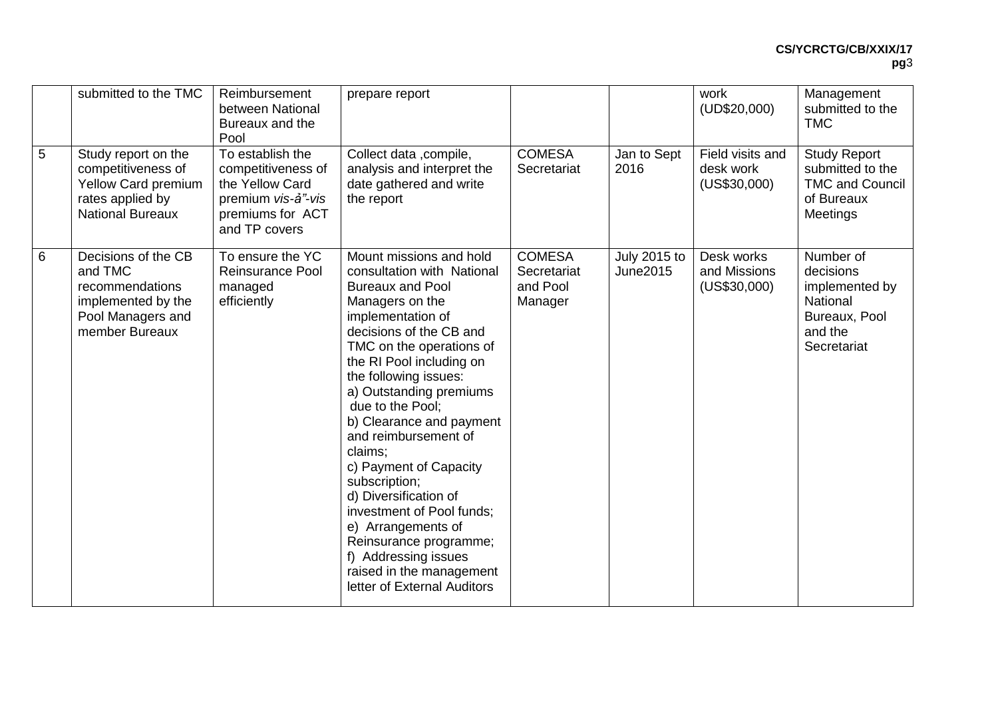|   | submitted to the TMC                                                                                            | Reimbursement<br>between National<br>Bureaux and the<br>Pool                                                         | prepare report                                                                                                                                                                                                                                                                                                                                                                                                                                                                                                                                                                         |                                                     |                                 | work<br>(UD\$20,000)                          | Management<br>submitted to the<br><b>TMC</b>                                                    |
|---|-----------------------------------------------------------------------------------------------------------------|----------------------------------------------------------------------------------------------------------------------|----------------------------------------------------------------------------------------------------------------------------------------------------------------------------------------------------------------------------------------------------------------------------------------------------------------------------------------------------------------------------------------------------------------------------------------------------------------------------------------------------------------------------------------------------------------------------------------|-----------------------------------------------------|---------------------------------|-----------------------------------------------|-------------------------------------------------------------------------------------------------|
| 5 | Study report on the<br>competitiveness of<br>Yellow Card premium<br>rates applied by<br><b>National Bureaux</b> | To establish the<br>competitiveness of<br>the Yellow Card<br>premium vis-a"-vis<br>premiums for ACT<br>and TP covers | Collect data , compile,<br>analysis and interpret the<br>date gathered and write<br>the report                                                                                                                                                                                                                                                                                                                                                                                                                                                                                         | <b>COMESA</b><br>Secretariat                        | Jan to Sept<br>2016             | Field visits and<br>desk work<br>(US\$30,000) | <b>Study Report</b><br>submitted to the<br><b>TMC and Council</b><br>of Bureaux<br>Meetings     |
| 6 | Decisions of the CB<br>and TMC<br>recommendations<br>implemented by the<br>Pool Managers and<br>member Bureaux  | To ensure the YC<br>Reinsurance Pool<br>managed<br>efficiently                                                       | Mount missions and hold<br>consultation with National<br><b>Bureaux and Pool</b><br>Managers on the<br>implementation of<br>decisions of the CB and<br>TMC on the operations of<br>the RI Pool including on<br>the following issues:<br>a) Outstanding premiums<br>due to the Pool;<br>b) Clearance and payment<br>and reimbursement of<br>claims:<br>c) Payment of Capacity<br>subscription;<br>d) Diversification of<br>investment of Pool funds;<br>e) Arrangements of<br>Reinsurance programme;<br>f) Addressing issues<br>raised in the management<br>letter of External Auditors | <b>COMESA</b><br>Secretariat<br>and Pool<br>Manager | July 2015 to<br><b>June2015</b> | Desk works<br>and Missions<br>(US\$30,000)    | Number of<br>decisions<br>implemented by<br>National<br>Bureaux, Pool<br>and the<br>Secretariat |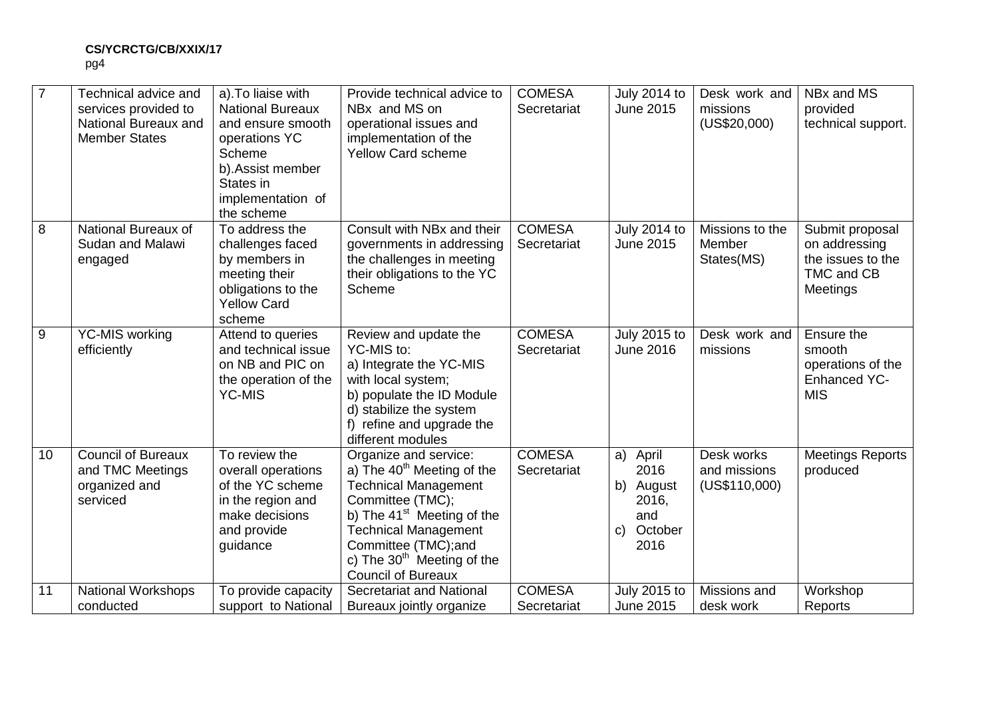|                 | Technical advice and<br>services provided to<br>National Bureaux and<br><b>Member States</b> | a). To liaise with<br><b>National Bureaux</b><br>and ensure smooth<br>operations YC<br>Scheme<br>b). Assist member<br>States in<br>implementation of<br>the scheme | Provide technical advice to<br>NBx and MS on<br>operational issues and<br>implementation of the<br><b>Yellow Card scheme</b>                                                                                                                                                    | <b>COMESA</b><br>Secretariat | <b>July 2014 to</b><br><b>June 2015</b>                                             | Desk work and<br>missions<br>(US\$20,000)   | NBx and MS<br>provided<br>technical support.                                    |
|-----------------|----------------------------------------------------------------------------------------------|--------------------------------------------------------------------------------------------------------------------------------------------------------------------|---------------------------------------------------------------------------------------------------------------------------------------------------------------------------------------------------------------------------------------------------------------------------------|------------------------------|-------------------------------------------------------------------------------------|---------------------------------------------|---------------------------------------------------------------------------------|
| 8               | National Bureaux of<br>Sudan and Malawi<br>engaged                                           | To address the<br>challenges faced<br>by members in<br>meeting their<br>obligations to the<br><b>Yellow Card</b><br>scheme                                         | Consult with NBx and their<br>governments in addressing<br>the challenges in meeting<br>their obligations to the YC<br>Scheme                                                                                                                                                   | <b>COMESA</b><br>Secretariat | <b>July 2014 to</b><br><b>June 2015</b>                                             | Missions to the<br>Member<br>States(MS)     | Submit proposal<br>on addressing<br>the issues to the<br>TMC and CB<br>Meetings |
| 9               | <b>YC-MIS working</b><br>efficiently                                                         | Attend to queries<br>and technical issue<br>on NB and PIC on<br>the operation of the<br><b>YC-MIS</b>                                                              | Review and update the<br>YC-MIS to:<br>a) Integrate the YC-MIS<br>with local system;<br>b) populate the ID Module<br>d) stabilize the system<br>f) refine and upgrade the<br>different modules                                                                                  | <b>COMESA</b><br>Secretariat | <b>July 2015 to</b><br><b>June 2016</b>                                             | Desk work and<br>missions                   | Ensure the<br>smooth<br>operations of the<br>Enhanced YC-<br><b>MIS</b>         |
| 10 <sup>°</sup> | <b>Council of Bureaux</b><br>and TMC Meetings<br>organized and<br>serviced                   | To review the<br>overall operations<br>of the YC scheme<br>in the region and<br>make decisions<br>and provide<br>guidance                                          | Organize and service:<br>a) The 40 <sup>th</sup> Meeting of the<br><b>Technical Management</b><br>Committee (TMC);<br>b) The 41 <sup>st</sup> Meeting of the<br><b>Technical Management</b><br>Committee (TMC);and<br>c) The $30th$ Meeting of the<br><b>Council of Bureaux</b> | <b>COMESA</b><br>Secretariat | April<br>a)<br>2016<br>b) August<br>2016,<br>and<br>October<br>$\mathsf{C}$<br>2016 | Desk works<br>and missions<br>(US\$110,000) | <b>Meetings Reports</b><br>produced                                             |
| 11              | <b>National Workshops</b><br>conducted                                                       | To provide capacity<br>support to National                                                                                                                         | Secretariat and National<br>Bureaux jointly organize                                                                                                                                                                                                                            | <b>COMESA</b><br>Secretariat | <b>July 2015 to</b><br><b>June 2015</b>                                             | Missions and<br>desk work                   | Workshop<br>Reports                                                             |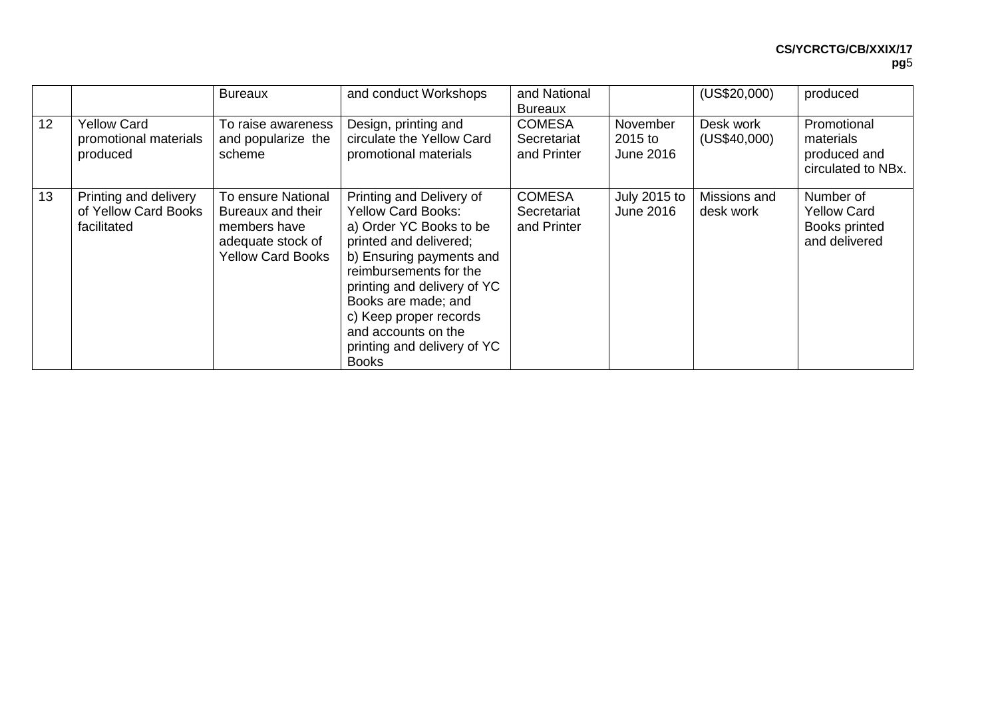|    |                                                              | <b>Bureaux</b>                                                                                           | and conduct Workshops                                                                                                                                                                                                                                                                                                  | and National<br><b>Bureaux</b>              |                                  | (US\$20,000)              | produced                                                          |
|----|--------------------------------------------------------------|----------------------------------------------------------------------------------------------------------|------------------------------------------------------------------------------------------------------------------------------------------------------------------------------------------------------------------------------------------------------------------------------------------------------------------------|---------------------------------------------|----------------------------------|---------------------------|-------------------------------------------------------------------|
| 12 | <b>Yellow Card</b><br>promotional materials<br>produced      | To raise awareness<br>and popularize the<br>scheme                                                       | Design, printing and<br>circulate the Yellow Card<br>promotional materials                                                                                                                                                                                                                                             | <b>COMESA</b><br>Secretariat<br>and Printer | November<br>2015 to<br>June 2016 | Desk work<br>(US\$40,000) | Promotional<br>materials<br>produced and<br>circulated to NBx.    |
| 13 | Printing and delivery<br>of Yellow Card Books<br>facilitated | To ensure National<br>Bureaux and their<br>members have<br>adequate stock of<br><b>Yellow Card Books</b> | Printing and Delivery of<br><b>Yellow Card Books:</b><br>a) Order YC Books to be<br>printed and delivered;<br>b) Ensuring payments and<br>reimbursements for the<br>printing and delivery of YC<br>Books are made; and<br>c) Keep proper records<br>and accounts on the<br>printing and delivery of YC<br><b>Books</b> | <b>COMESA</b><br>Secretariat<br>and Printer | July 2015 to<br><b>June 2016</b> | Missions and<br>desk work | Number of<br><b>Yellow Card</b><br>Books printed<br>and delivered |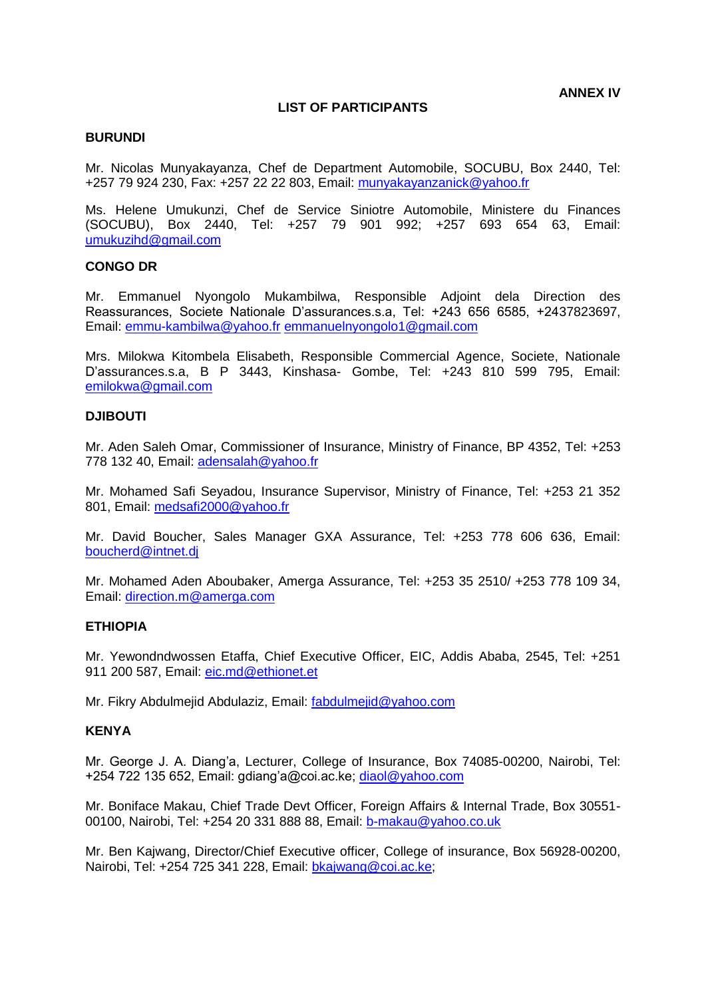#### **LIST OF PARTICIPANTS**

#### **BURUNDI**

Mr. Nicolas Munyakayanza, Chef de Department Automobile, SOCUBU, Box 2440, Tel: +257 79 924 230, Fax: +257 22 22 803, Email: [munyakayanzanick@yahoo.fr](mailto:munyakayanzanick@yahoo.fr)

Ms. Helene Umukunzi, Chef de Service Siniotre Automobile, Ministere du Finances (SOCUBU), Box 2440, Tel: +257 79 901 992; +257 693 654 63, Email: [umukuzihd@gmail.com](mailto:umukuzihd@gmail.com)

#### **CONGO DR**

Mr. Emmanuel Nyongolo Mukambilwa, Responsible Adjoint dela Direction des Reassurances, Societe Nationale D'assurances.s.a, Tel: +243 656 6585, +2437823697, Email: [emmu-kambilwa@yahoo.fr](mailto:emmu-kambilwa@yahoo.fr) [emmanuelnyongolo1@gmail.com](mailto:emmanuelnyongolo1@gmail.com)

Mrs. Milokwa Kitombela Elisabeth, Responsible Commercial Agence, Societe, Nationale D'assurances.s.a, B P 3443, Kinshasa- Gombe, Tel: +243 810 599 795, Email: [emilokwa@gmail.com](mailto:emilokwa@gmail.com)

#### **DJIBOUTI**

Mr. Aden Saleh Omar, Commissioner of Insurance, Ministry of Finance, BP 4352, Tel: +253 778 132 40, Email: [adensalah@yahoo.fr](mailto:adensalah@yahoo.fr)

Mr. Mohamed Safi Seyadou, Insurance Supervisor, Ministry of Finance, Tel: +253 21 352 801, Email: [medsafi2000@yahoo.fr](mailto:medsafi2000@yahoo.fr)

Mr. David Boucher, Sales Manager GXA Assurance, Tel: +253 778 606 636, Email: [boucherd@intnet.dj](mailto:boucherd@intnet.dj)

Mr. Mohamed Aden Aboubaker, Amerga Assurance, Tel: +253 35 2510/ +253 778 109 34, Email: [direction.m@amerga.com](mailto:direction.m@amerga.com)

#### **ETHIOPIA**

Mr. Yewondndwossen Etaffa, Chief Executive Officer, EIC, Addis Ababa, 2545, Tel: +251 911 200 587, Email: [eic.md@ethionet.et](mailto:eic.md@ethionet.et)

Mr. Fikry Abdulmejid Abdulaziz, Email: [fabdulmejid@yahoo.com](mailto:fabdulmejid@yahoo.com)

#### **KENYA**

Mr. George J. A. Diang'a, Lecturer, College of Insurance, Box 74085-00200, Nairobi, Tel: +254 722 135 652, Email: gdiang'a@coi.ac.ke; [diaol@yahoo.com](mailto:diaol@yahoo.com) 

Mr. Boniface Makau, Chief Trade Devt Officer, Foreign Affairs & Internal Trade, Box 30551- 00100, Nairobi, Tel: +254 20 331 888 88, Email: [b-makau@yahoo.co.uk](mailto:b-makau@yahoo.co.uk)

Mr. Ben Kajwang, Director/Chief Executive officer, College of insurance, Box 56928-00200, Nairobi, Tel: +254 725 341 228, Email: [bkajwang@coi.ac.ke;](mailto:bkajwang@coi.ac.ke)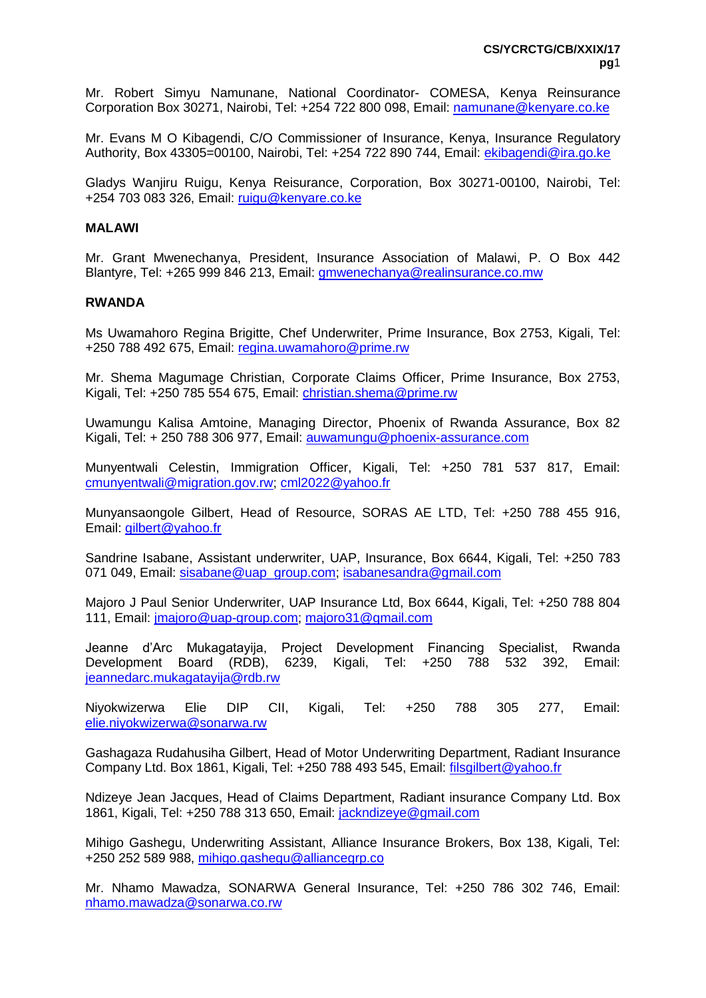Mr. Robert Simyu Namunane, National Coordinator- COMESA, Kenya Reinsurance Corporation Box 30271, Nairobi, Tel: +254 722 800 098, Email: [namunane@kenyare.co.ke](mailto:namunane@kenyare.co.ke) 

Mr. Evans M O Kibagendi, C/O Commissioner of Insurance, Kenya, Insurance Regulatory Authority, Box 43305=00100, Nairobi, Tel: +254 722 890 744, Email: [ekibagendi@ira.go.ke](mailto:ekibagendi@ira.go.ke)

Gladys Wanjiru Ruigu, Kenya Reisurance, Corporation, Box 30271-00100, Nairobi, Tel: +254 703 083 326, Email: [ruigu@kenyare.co.ke](mailto:ruigu@kenyare.co.ke)

#### **MALAWI**

Mr. Grant Mwenechanya, President, Insurance Association of Malawi, P. O Box 442 Blantyre, Tel: +265 999 846 213, Email: [gmwenechanya@realinsurance.co.mw](mailto:gmwenechanya@realinsurance.co.mw)

#### **RWANDA**

Ms Uwamahoro Regina Brigitte, Chef Underwriter, Prime Insurance, Box 2753, Kigali, Tel: +250 788 492 675, Email: [regina.uwamahoro@prime.rw](mailto:regina.uwamahoro@prime.rw)

Mr. Shema Magumage Christian, Corporate Claims Officer, Prime Insurance, Box 2753, Kigali, Tel: +250 785 554 675, Email: [christian.shema@prime.rw](mailto:christian.shema@prime.rw)

Uwamungu Kalisa Amtoine, Managing Director, Phoenix of Rwanda Assurance, Box 82 Kigali, Tel: + 250 788 306 977, Email: [auwamungu@phoenix-assurance.com](mailto:auwamungu@phoenix-assurance.com)

Munyentwali Celestin, Immigration Officer, Kigali, Tel: +250 781 537 817, Email: [cmunyentwali@migration.gov.rw;](mailto:cmunyentwali@migration.gov.rw) [cml2022@yahoo.fr](mailto:cml2022@yahoo.fr) 

Munyansaongole Gilbert, Head of Resource, SORAS AE LTD, Tel: +250 788 455 916, Email: [gilbert@yahoo.fr](mailto:gilbert@yahoo.fr)

Sandrine Isabane, Assistant underwriter, UAP, Insurance, Box 6644, Kigali, Tel: +250 783 071 049, Email: [sisabane@uap\\_group.com;](mailto:sisabane@uap_group.com) [isabanesandra@gmail.com](mailto:isabanesandra@gmail.com)

Majoro J Paul Senior Underwriter, UAP Insurance Ltd, Box 6644, Kigali, Tel: +250 788 804 111, Email: [jmajoro@uap-group.com;](mailto:jmajoro@uap-group.com) [majoro31@gmail.com](mailto:majoro31@gmail.com)

Jeanne d'Arc Mukagatayija, Project Development Financing Specialist, Rwanda Development Board (RDB), 6239, Kigali, Tel: +250 788 532 392, Email: [jeannedarc.mukagatayija@rdb.rw](mailto:jeannedarc.mukagatayija@rdb.rw)

Niyokwizerwa Elie DIP CII, Kigali, Tel: +250 788 305 277, Email: [elie.niyokwizerwa@sonarwa.rw](mailto:elie.niyokwizerwa@sonarwa.rw)

Gashagaza Rudahusiha Gilbert, Head of Motor Underwriting Department, Radiant Insurance Company Ltd. Box 1861, Kigali, Tel: +250 788 493 545, Email: [filsgilbert@yahoo.fr](mailto:filsgilbert@yahoo.fr)

Ndizeye Jean Jacques, Head of Claims Department, Radiant insurance Company Ltd. Box 1861, Kigali, Tel: +250 788 313 650, Email: [jackndizeye@gmail.com](mailto:jackndizeye@gmail.com)

Mihigo Gashegu, Underwriting Assistant, Alliance Insurance Brokers, Box 138, Kigali, Tel: +250 252 589 988, [mihigo.gashegu@alliancegrp.co](mailto:mihigo.gashegu@alliancegrp.co)

Mr. Nhamo Mawadza, SONARWA General Insurance, Tel: +250 786 302 746, Email: [nhamo.mawadza@sonarwa.co.rw](mailto:nhamo.mawadza@sonarwa.co.rw)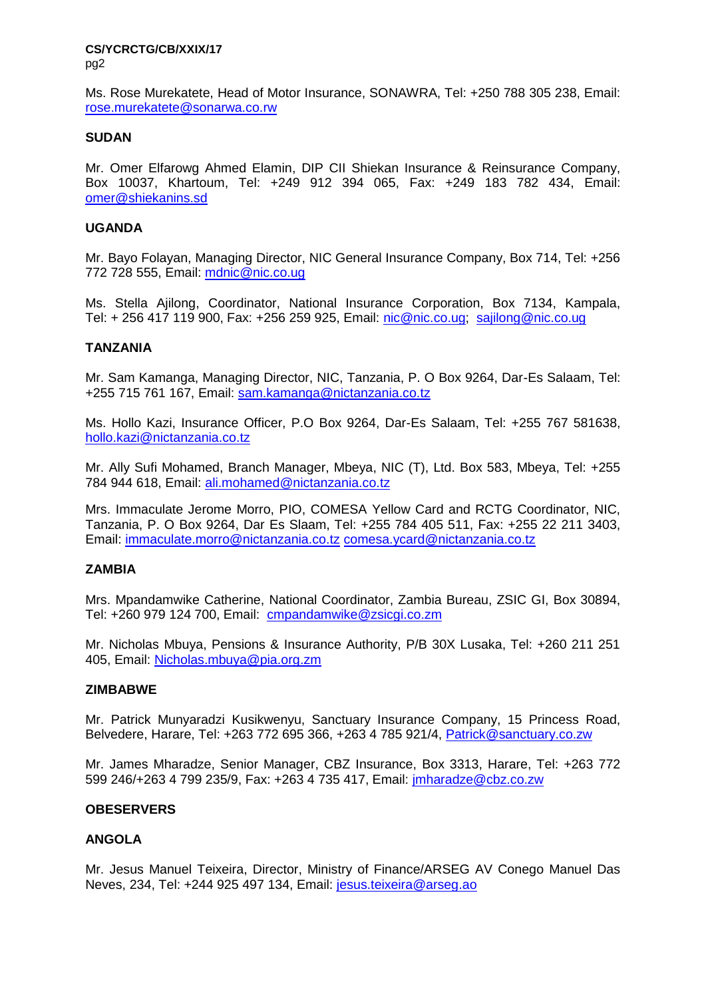Ms. Rose Murekatete, Head of Motor Insurance, SONAWRA, Tel: +250 788 305 238, Email: [rose.murekatete@sonarwa.co.rw](mailto:rose.murekatete@sonarwa.co.rw)

#### **SUDAN**

Mr. Omer Elfarowg Ahmed Elamin, DIP CII Shiekan Insurance & Reinsurance Company, Box 10037, Khartoum, Tel: +249 912 394 065, Fax: +249 183 782 434, Email: [omer@shiekanins.sd](mailto:omer@shiekanins.sd)

#### **UGANDA**

Mr. Bayo Folayan, Managing Director, NIC General Insurance Company, Box 714, Tel: +256 772 728 555, Email: [mdnic@nic.co.ug](mailto:mdnic@nic.co.ug)

Ms. Stella Ajilong, Coordinator, National Insurance Corporation, Box 7134, Kampala, Tel: + 256 417 119 900, Fax: +256 259 925, Email: [nic@nic.co.ug;](mailto:nic@nic.co.ug) [sajilong@nic.co.ug](mailto:sajilong@nic.co.ug)

#### **TANZANIA**

Mr. Sam Kamanga, Managing Director, NIC, Tanzania, P. O Box 9264, Dar-Es Salaam, Tel: +255 715 761 167, Email: [sam.kamanga@nictanzania.co.tz](mailto:sam.kamanga@nictanzania.co.tz)

Ms. Hollo Kazi, Insurance Officer, P.O Box 9264, Dar-Es Salaam, Tel: +255 767 581638, [hollo.kazi@nictanzania.co.tz](mailto:hollo.kazi@nictanzania.co.tz)

Mr. Ally Sufi Mohamed, Branch Manager, Mbeya, NIC (T), Ltd. Box 583, Mbeya, Tel: +255 784 944 618, Email: [ali.mohamed@nictanzania.co.tz](mailto:ali.mohamed@nictanzania.co.tz) 

Mrs. Immaculate Jerome Morro, PIO, COMESA Yellow Card and RCTG Coordinator, NIC, Tanzania, P. O Box 9264, Dar Es Slaam, Tel: +255 784 405 511, Fax: +255 22 211 3403, Email: [immaculate.morro@nictanzania.co.tz](mailto:immaculate.morro@nictanzania.co.tz) [comesa.ycard@nictanzania.co.tz](mailto:comesa.ycard@nictanzania.co.tz)

# **ZAMBIA**

Mrs. Mpandamwike Catherine, National Coordinator, Zambia Bureau, ZSIC GI, Box 30894, Tel: +260 979 124 700, Email: [cmpandamwike@zsicgi.co.zm](mailto:cmpandamwike@zsicgi.co.zm)

Mr. Nicholas Mbuya, Pensions & Insurance Authority, P/B 30X Lusaka, Tel: +260 211 251 405, Email: [Nicholas.mbuya@pia.org.zm](mailto:Nicholas.mbuya@pia.org.zm)

#### **ZIMBABWE**

Mr. Patrick Munyaradzi Kusikwenyu, Sanctuary Insurance Company, 15 Princess Road, Belvedere, Harare, Tel: +263 772 695 366, +263 4 785 921/4, [Patrick@sanctuary.co.zw](mailto:Patrick@sanctuary.co.zw)

Mr. James Mharadze, Senior Manager, CBZ Insurance, Box 3313, Harare, Tel: +263 772 599 246/+263 4 799 235/9, Fax: +263 4 735 417, Email: [jmharadze@cbz.co.zw](mailto:jmharadze@cbz.co.zw)

#### **OBESERVERS**

# **ANGOLA**

Mr. Jesus Manuel Teixeira, Director, Ministry of Finance/ARSEG AV Conego Manuel Das Neves, 234, Tel: +244 925 497 134, Email: [jesus.teixeira@arseg.ao](mailto:jesus.teixeira@arseg.ao)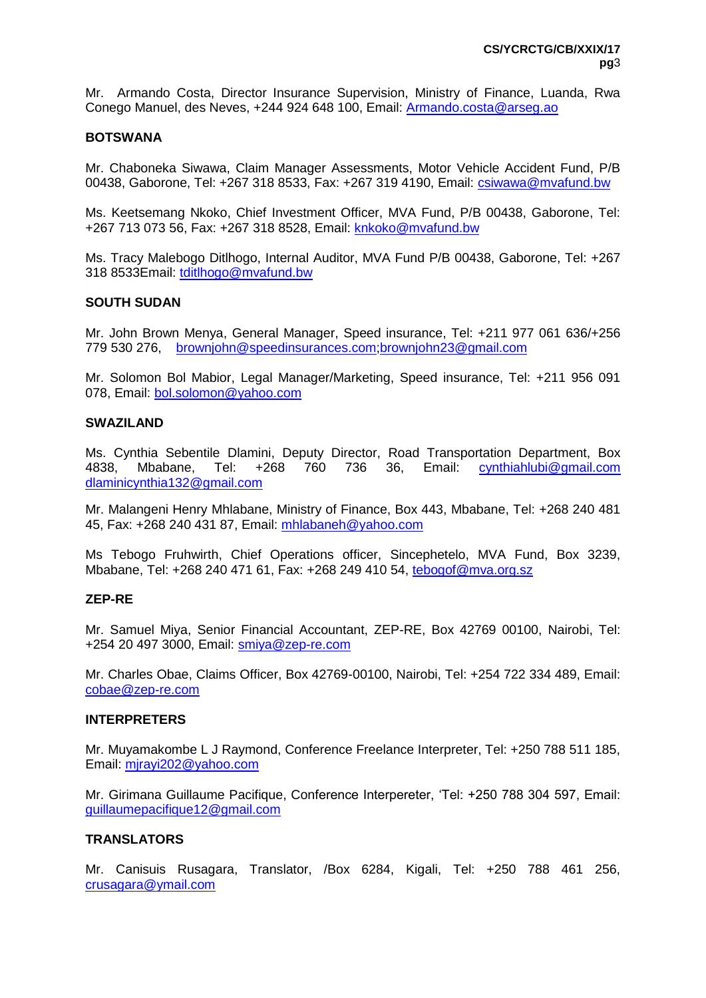Mr. Armando Costa, Director Insurance Supervision, Ministry of Finance, Luanda, Rwa Conego Manuel, des Neves, +244 924 648 100, Email: [Armando.costa@arseg.ao](mailto:Armando.costa@arseg.ao)

#### **BOTSWANA**

Mr. Chaboneka Siwawa, Claim Manager Assessments, Motor Vehicle Accident Fund, P/B 00438, Gaborone, Tel: +267 318 8533, Fax: +267 319 4190, Email: [csiwawa@mvafund.bw](mailto:csiwawa@mvafund.bw)

Ms. Keetsemang Nkoko, Chief Investment Officer, MVA Fund, P/B 00438, Gaborone, Tel: +267 713 073 56, Fax: +267 318 8528, Email: [knkoko@mvafund.bw](mailto:knkoko@mvafund.bw)

Ms. Tracy Malebogo Ditlhogo, Internal Auditor, MVA Fund P/B 00438, Gaborone, Tel: +267 318 8533Email: [tditlhogo@mvafund.bw](mailto:tditlhogo@mvafund.bw)

#### **SOUTH SUDAN**

Mr. John Brown Menya, General Manager, Speed insurance, Tel: +211 977 061 636/+256 779 530 276, [brownjohn@speedinsurances.com](mailto:brownjohn@speedinsurances.com)[;brownjohn23@gmail.com](mailto:brownjohn23@gmail.com)

Mr. Solomon Bol Mabior, Legal Manager/Marketing, Speed insurance, Tel: +211 956 091 078, Email: [bol.solomon@yahoo.com](mailto:bol.solomon@yahoo.com)

#### **SWAZILAND**

Ms. Cynthia Sebentile Dlamini, Deputy Director, Road Transportation Department, Box 4838, Mbabane, Tel: +268 760 736 36, Email: [cynthiahlubi@gmail.com](mailto:cynthiahlubi@gmail.com) [dlaminicynthia132@gmail.com](mailto:dlaminicynthia132@gmail.com)

Mr. Malangeni Henry Mhlabane, Ministry of Finance, Box 443, Mbabane, Tel: +268 240 481 45, Fax: +268 240 431 87, Email: [mhlabaneh@yahoo.com](mailto:mhlabaneh@yahoo.com)

Ms Tebogo Fruhwirth, Chief Operations officer, Sincephetelo, MVA Fund, Box 3239, Mbabane, Tel: +268 240 471 61, Fax: +268 249 410 54, [tebogof@mva.org.sz](mailto:tebogof@mva.org.sz)

#### **ZEP-RE**

Mr. Samuel Miya, Senior Financial Accountant, ZEP-RE, Box 42769 00100, Nairobi, Tel: +254 20 497 3000, Email: [smiya@zep-re.com](mailto:smiya@zep-re.com)

Mr. Charles Obae, Claims Officer, Box 42769-00100, Nairobi, Tel: +254 722 334 489, Email: [cobae@zep-re.com](mailto:cobae@zep-re.com)

#### **INTERPRETERS**

Mr. Muyamakombe L J Raymond, Conference Freelance Interpreter, Tel: +250 788 511 185, Email: [mjrayi202@yahoo.com](mailto:mjrayi202@yahoo.com)

Mr. Girimana Guillaume Pacifique, Conference Interpereter, 'Tel: +250 788 304 597, Email: [guillaumepacifique12@gmail.com](mailto:guillaumepacifique12@gmail.com)

# **TRANSLATORS**

Mr. Canisuis Rusagara, Translator, /Box 6284, Kigali, Tel: +250 788 461 256, [crusagara@ymail.com](mailto:crusagara@ymail.com)